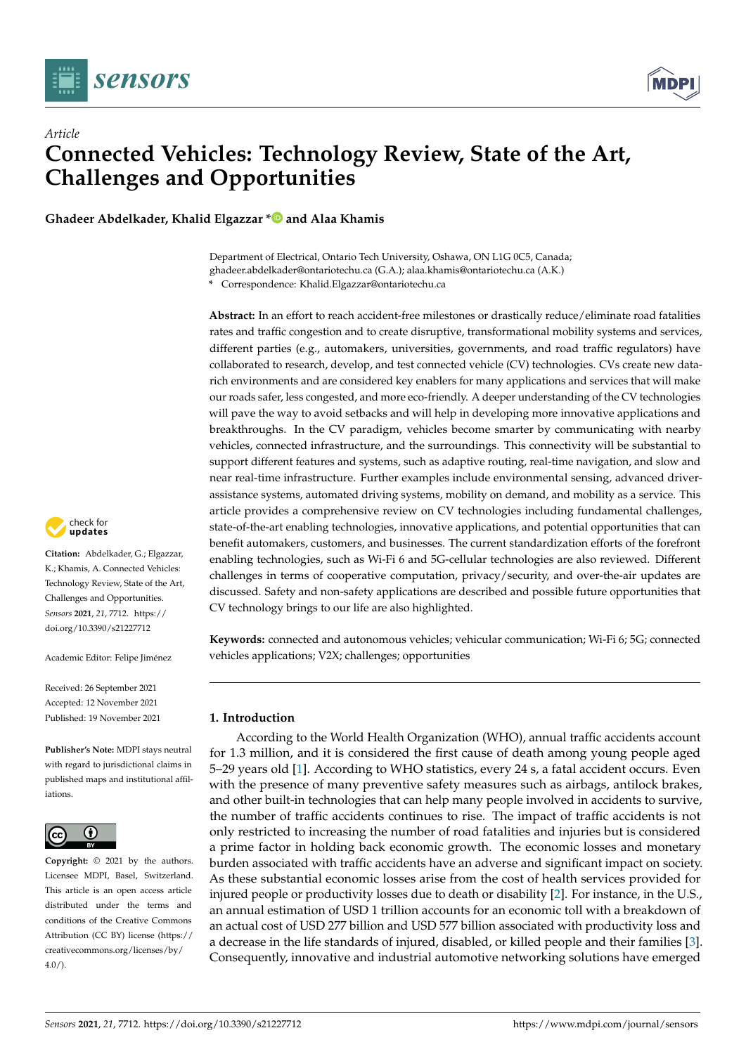

*Article*



# **Connected Vehicles: Technology Review, State of the Art, Challenges and Opportunities**

**Ghadeer Abdelkader, Khalid Elgazzar [\\*](https://orcid.org/0000-0002-5892-632X) and Alaa Khamis**

Department of Electrical, Ontario Tech University, Oshawa, ON L1G 0C5, Canada; ghadeer.abdelkader@ontariotechu.ca (G.A.); alaa.khamis@ontariotechu.ca (A.K.) **\*** Correspondence: Khalid.Elgazzar@ontariotechu.ca

**Abstract:** In an effort to reach accident-free milestones or drastically reduce/eliminate road fatalities rates and traffic congestion and to create disruptive, transformational mobility systems and services, different parties (e.g., automakers, universities, governments, and road traffic regulators) have collaborated to research, develop, and test connected vehicle (CV) technologies. CVs create new datarich environments and are considered key enablers for many applications and services that will make our roads safer, less congested, and more eco-friendly. A deeper understanding of the CV technologies will pave the way to avoid setbacks and will help in developing more innovative applications and breakthroughs. In the CV paradigm, vehicles become smarter by communicating with nearby vehicles, connected infrastructure, and the surroundings. This connectivity will be substantial to support different features and systems, such as adaptive routing, real-time navigation, and slow and near real-time infrastructure. Further examples include environmental sensing, advanced driverassistance systems, automated driving systems, mobility on demand, and mobility as a service. This article provides a comprehensive review on CV technologies including fundamental challenges, state-of-the-art enabling technologies, innovative applications, and potential opportunities that can benefit automakers, customers, and businesses. The current standardization efforts of the forefront enabling technologies, such as Wi-Fi 6 and 5G-cellular technologies are also reviewed. Different challenges in terms of cooperative computation, privacy/security, and over-the-air updates are discussed. Safety and non-safety applications are described and possible future opportunities that CV technology brings to our life are also highlighted.

**Keywords:** connected and autonomous vehicles; vehicular communication; Wi-Fi 6; 5G; connected vehicles applications; V2X; challenges; opportunities

# **1. Introduction**

According to the World Health Organization (WHO), annual traffic accidents account for 1.3 million, and it is considered the first cause of death among young people aged 5–29 years old [\[1\]](#page-24-0). According to WHO statistics, every 24 s, a fatal accident occurs. Even with the presence of many preventive safety measures such as airbags, antilock brakes, and other built-in technologies that can help many people involved in accidents to survive, the number of traffic accidents continues to rise. The impact of traffic accidents is not only restricted to increasing the number of road fatalities and injuries but is considered a prime factor in holding back economic growth. The economic losses and monetary burden associated with traffic accidents have an adverse and significant impact on society. As these substantial economic losses arise from the cost of health services provided for injured people or productivity losses due to death or disability [\[2\]](#page-24-1). For instance, in the U.S., an annual estimation of USD 1 trillion accounts for an economic toll with a breakdown of an actual cost of USD 277 billion and USD 577 billion associated with productivity loss and a decrease in the life standards of injured, disabled, or killed people and their families [\[3\]](#page-24-2). Consequently, innovative and industrial automotive networking solutions have emerged



**Citation:** Abdelkader, G.; Elgazzar, K.; Khamis, A. Connected Vehicles: Technology Review, State of the Art, Challenges and Opportunities. *Sensors* **2021**, *21*, 7712. [https://](https://doi.org/10.3390/s21227712) [doi.org/10.3390/s21227712](https://doi.org/10.3390/s21227712)

Academic Editor: Felipe Jiménez

Received: 26 September 2021 Accepted: 12 November 2021 Published: 19 November 2021

**Publisher's Note:** MDPI stays neutral with regard to jurisdictional claims in published maps and institutional affiliations.



**Copyright:** © 2021 by the authors. Licensee MDPI, Basel, Switzerland. This article is an open access article distributed under the terms and conditions of the Creative Commons Attribution (CC BY) license (https:/[/](https://creativecommons.org/licenses/by/4.0/) [creativecommons.org/licenses/by/](https://creativecommons.org/licenses/by/4.0/) 4.0/).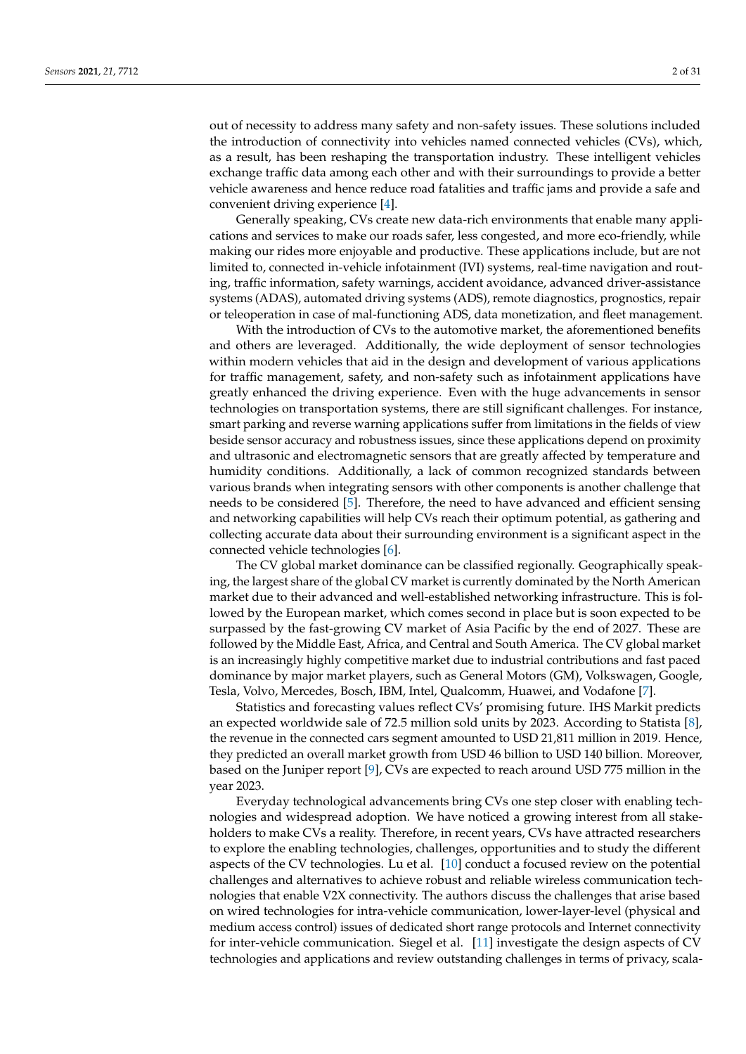out of necessity to address many safety and non-safety issues. These solutions included the introduction of connectivity into vehicles named connected vehicles (CVs), which, as a result, has been reshaping the transportation industry. These intelligent vehicles exchange traffic data among each other and with their surroundings to provide a better vehicle awareness and hence reduce road fatalities and traffic jams and provide a safe and convenient driving experience [\[4\]](#page-24-3).

Generally speaking, CVs create new data-rich environments that enable many applications and services to make our roads safer, less congested, and more eco-friendly, while making our rides more enjoyable and productive. These applications include, but are not limited to, connected in-vehicle infotainment (IVI) systems, real-time navigation and routing, traffic information, safety warnings, accident avoidance, advanced driver-assistance systems (ADAS), automated driving systems (ADS), remote diagnostics, prognostics, repair or teleoperation in case of mal-functioning ADS, data monetization, and fleet management.

With the introduction of CVs to the automotive market, the aforementioned benefits and others are leveraged. Additionally, the wide deployment of sensor technologies within modern vehicles that aid in the design and development of various applications for traffic management, safety, and non-safety such as infotainment applications have greatly enhanced the driving experience. Even with the huge advancements in sensor technologies on transportation systems, there are still significant challenges. For instance, smart parking and reverse warning applications suffer from limitations in the fields of view beside sensor accuracy and robustness issues, since these applications depend on proximity and ultrasonic and electromagnetic sensors that are greatly affected by temperature and humidity conditions. Additionally, a lack of common recognized standards between various brands when integrating sensors with other components is another challenge that needs to be considered [\[5\]](#page-24-4). Therefore, the need to have advanced and efficient sensing and networking capabilities will help CVs reach their optimum potential, as gathering and collecting accurate data about their surrounding environment is a significant aspect in the connected vehicle technologies [\[6\]](#page-24-5).

The CV global market dominance can be classified regionally. Geographically speaking, the largest share of the global CV market is currently dominated by the North American market due to their advanced and well-established networking infrastructure. This is followed by the European market, which comes second in place but is soon expected to be surpassed by the fast-growing CV market of Asia Pacific by the end of 2027. These are followed by the Middle East, Africa, and Central and South America. The CV global market is an increasingly highly competitive market due to industrial contributions and fast paced dominance by major market players, such as General Motors (GM), Volkswagen, Google, Tesla, Volvo, Mercedes, Bosch, IBM, Intel, Qualcomm, Huawei, and Vodafone [\[7\]](#page-24-6).

Statistics and forecasting values reflect CVs' promising future. IHS Markit predicts an expected worldwide sale of 72.5 million sold units by 2023. According to Statista [\[8\]](#page-24-7), the revenue in the connected cars segment amounted to USD 21,811 million in 2019. Hence, they predicted an overall market growth from USD 46 billion to USD 140 billion. Moreover, based on the Juniper report [\[9\]](#page-24-8), CVs are expected to reach around USD 775 million in the year 2023.

Everyday technological advancements bring CVs one step closer with enabling technologies and widespread adoption. We have noticed a growing interest from all stakeholders to make CVs a reality. Therefore, in recent years, CVs have attracted researchers to explore the enabling technologies, challenges, opportunities and to study the different aspects of the CV technologies. Lu et al. [\[10\]](#page-25-0) conduct a focused review on the potential challenges and alternatives to achieve robust and reliable wireless communication technologies that enable V2X connectivity. The authors discuss the challenges that arise based on wired technologies for intra-vehicle communication, lower-layer-level (physical and medium access control) issues of dedicated short range protocols and Internet connectivity for inter-vehicle communication. Siegel et al. [\[11\]](#page-25-1) investigate the design aspects of CV technologies and applications and review outstanding challenges in terms of privacy, scala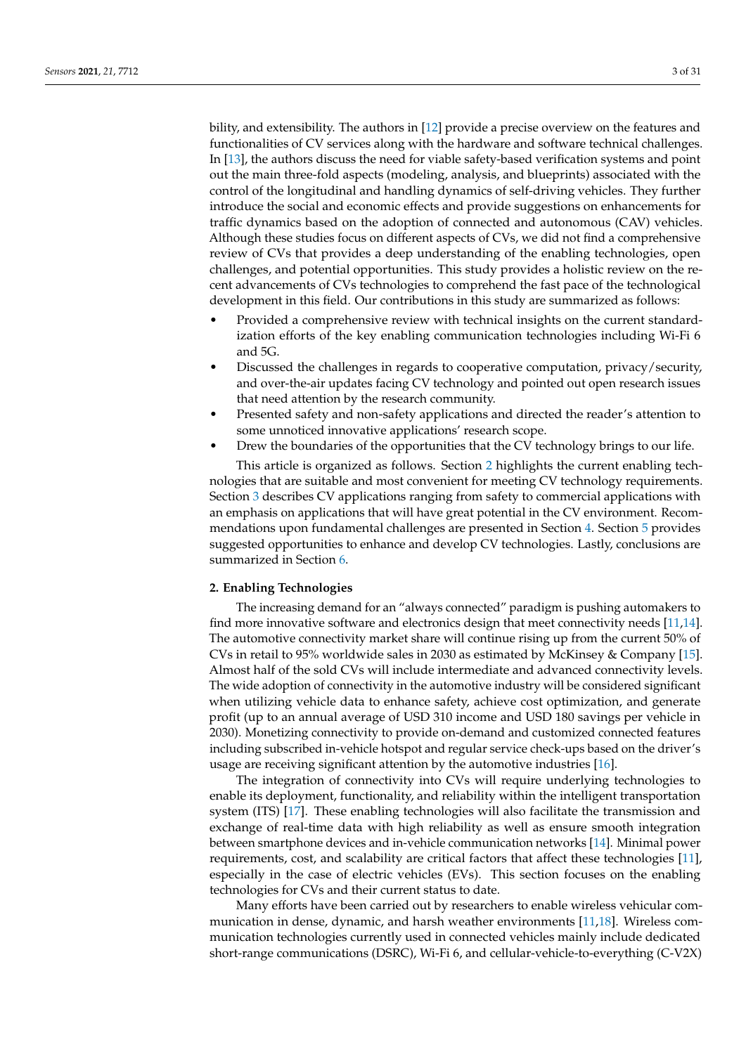bility, and extensibility. The authors in [\[12\]](#page-25-2) provide a precise overview on the features and functionalities of CV services along with the hardware and software technical challenges. In [\[13\]](#page-25-3), the authors discuss the need for viable safety-based verification systems and point out the main three-fold aspects (modeling, analysis, and blueprints) associated with the control of the longitudinal and handling dynamics of self-driving vehicles. They further introduce the social and economic effects and provide suggestions on enhancements for traffic dynamics based on the adoption of connected and autonomous (CAV) vehicles. Although these studies focus on different aspects of CVs, we did not find a comprehensive review of CVs that provides a deep understanding of the enabling technologies, open challenges, and potential opportunities. This study provides a holistic review on the recent advancements of CVs technologies to comprehend the fast pace of the technological development in this field. Our contributions in this study are summarized as follows:

- Provided a comprehensive review with technical insights on the current standardization efforts of the key enabling communication technologies including Wi-Fi 6 and 5G.
- Discussed the challenges in regards to cooperative computation, privacy/security, and over-the-air updates facing CV technology and pointed out open research issues that need attention by the research community.
- Presented safety and non-safety applications and directed the reader's attention to some unnoticed innovative applications' research scope.
- Drew the boundaries of the opportunities that the CV technology brings to our life.

This article is organized as follows. Section [2](#page-2-0) highlights the current enabling technologies that are suitable and most convenient for meeting CV technology requirements. Section [3](#page-9-0) describes CV applications ranging from safety to commercial applications with an emphasis on applications that will have great potential in the CV environment. Recommendations upon fundamental challenges are presented in Section [4.](#page-18-0) Section [5](#page-22-0) provides suggested opportunities to enhance and develop CV technologies. Lastly, conclusions are summarized in Section [6.](#page-24-9)

### <span id="page-2-0"></span>**2. Enabling Technologies**

The increasing demand for an "always connected" paradigm is pushing automakers to find more innovative software and electronics design that meet connectivity needs [\[11](#page-25-1)[,14\]](#page-25-4). The automotive connectivity market share will continue rising up from the current 50% of CVs in retail to 95% worldwide sales in 2030 as estimated by McKinsey & Company [\[15\]](#page-25-5). Almost half of the sold CVs will include intermediate and advanced connectivity levels. The wide adoption of connectivity in the automotive industry will be considered significant when utilizing vehicle data to enhance safety, achieve cost optimization, and generate profit (up to an annual average of USD 310 income and USD 180 savings per vehicle in 2030). Monetizing connectivity to provide on-demand and customized connected features including subscribed in-vehicle hotspot and regular service check-ups based on the driver's usage are receiving significant attention by the automotive industries [\[16\]](#page-25-6).

The integration of connectivity into CVs will require underlying technologies to enable its deployment, functionality, and reliability within the intelligent transportation system (ITS) [\[17\]](#page-25-7). These enabling technologies will also facilitate the transmission and exchange of real-time data with high reliability as well as ensure smooth integration between smartphone devices and in-vehicle communication networks [\[14\]](#page-25-4). Minimal power requirements, cost, and scalability are critical factors that affect these technologies [\[11\]](#page-25-1), especially in the case of electric vehicles (EVs). This section focuses on the enabling technologies for CVs and their current status to date.

Many efforts have been carried out by researchers to enable wireless vehicular communication in dense, dynamic, and harsh weather environments [\[11](#page-25-1)[,18\]](#page-25-8). Wireless communication technologies currently used in connected vehicles mainly include dedicated short-range communications (DSRC), Wi-Fi 6, and cellular-vehicle-to-everything (C-V2X)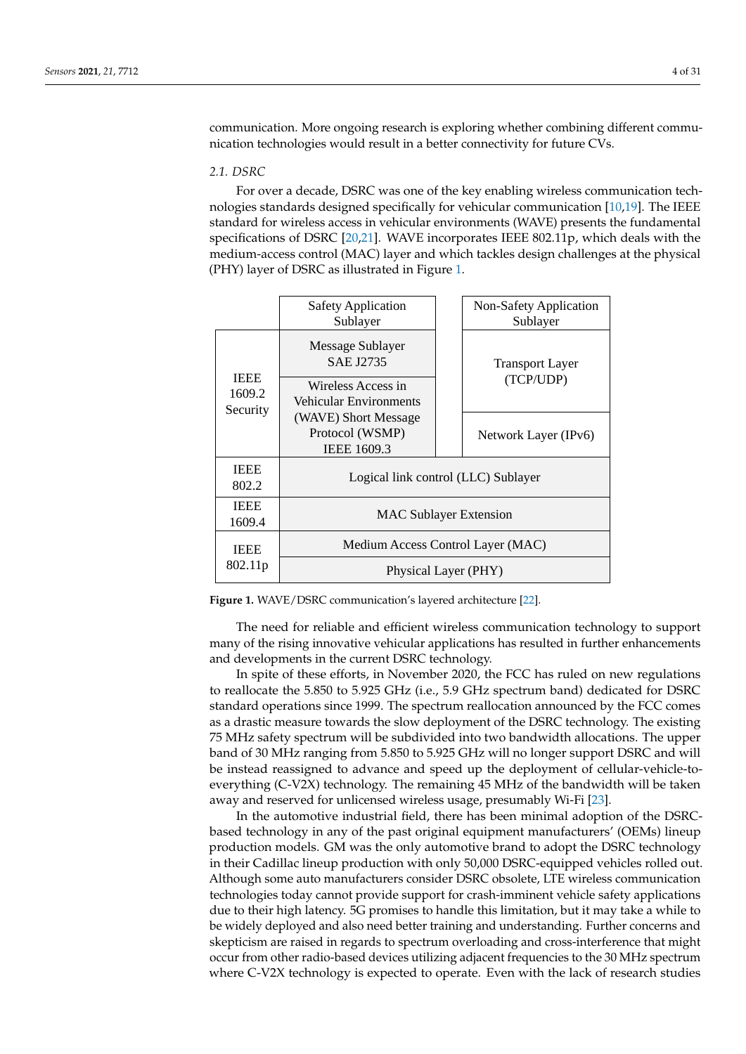communication. More ongoing research is exploring whether combining different communication technologies would result in a better connectivity for future CVs.

#### *2.1. DSRC*

For over a decade, DSRC was one of the key enabling wireless communication technologies standards designed specifically for vehicular communication [\[10](#page-25-0)[,19\]](#page-25-9). The IEEE standard for wireless access in vehicular environments (WAVE) presents the fundamental specifications of DSRC [\[20](#page-25-10)[,21\]](#page-25-11). WAVE incorporates IEEE 802.11p, which deals with the medium-access control (MAC) layer and which tackles design challenges at the physical (PHY) layer of DSRC as illustrated in Figure [1.](#page-3-0)

<span id="page-3-0"></span>

|                                   | <b>Safety Application</b><br>Sublayer                         |  | Non-Safety Application<br>Sublayer  |  |
|-----------------------------------|---------------------------------------------------------------|--|-------------------------------------|--|
| <b>IEEE</b><br>1609.2<br>Security | Message Sublayer<br><b>SAE J2735</b>                          |  | <b>Transport Layer</b><br>(TCP/UDP) |  |
|                                   | Wireless Access in<br>Vehicular Environments                  |  |                                     |  |
|                                   | (WAVE) Short Message<br>Protocol (WSMP)<br><b>IEEE 1609.3</b> |  | Network Layer (IPv6)                |  |
| <b>IEEE</b><br>802.2              | Logical link control (LLC) Sublayer                           |  |                                     |  |
| <b>IEEE</b><br>1609.4             | <b>MAC Sublayer Extension</b>                                 |  |                                     |  |
| <b>IEEE</b><br>802.11p            | Medium Access Control Layer (MAC)                             |  |                                     |  |
|                                   | Physical Layer (PHY)                                          |  |                                     |  |

**Figure 1.** WAVE/DSRC communication's layered architecture [\[22\]](#page-25-12).

The need for reliable and efficient wireless communication technology to support many of the rising innovative vehicular applications has resulted in further enhancements and developments in the current DSRC technology.

In spite of these efforts, in November 2020, the FCC has ruled on new regulations to reallocate the 5.850 to 5.925 GHz (i.e., 5.9 GHz spectrum band) dedicated for DSRC standard operations since 1999. The spectrum reallocation announced by the FCC comes as a drastic measure towards the slow deployment of the DSRC technology. The existing 75 MHz safety spectrum will be subdivided into two bandwidth allocations. The upper band of 30 MHz ranging from 5.850 to 5.925 GHz will no longer support DSRC and will be instead reassigned to advance and speed up the deployment of cellular-vehicle-toeverything (C-V2X) technology. The remaining 45 MHz of the bandwidth will be taken away and reserved for unlicensed wireless usage, presumably Wi-Fi [\[23\]](#page-25-13).

In the automotive industrial field, there has been minimal adoption of the DSRCbased technology in any of the past original equipment manufacturers' (OEMs) lineup production models. GM was the only automotive brand to adopt the DSRC technology in their Cadillac lineup production with only 50,000 DSRC-equipped vehicles rolled out. Although some auto manufacturers consider DSRC obsolete, LTE wireless communication technologies today cannot provide support for crash-imminent vehicle safety applications due to their high latency. 5G promises to handle this limitation, but it may take a while to be widely deployed and also need better training and understanding. Further concerns and skepticism are raised in regards to spectrum overloading and cross-interference that might occur from other radio-based devices utilizing adjacent frequencies to the 30 MHz spectrum where C-V2X technology is expected to operate. Even with the lack of research studies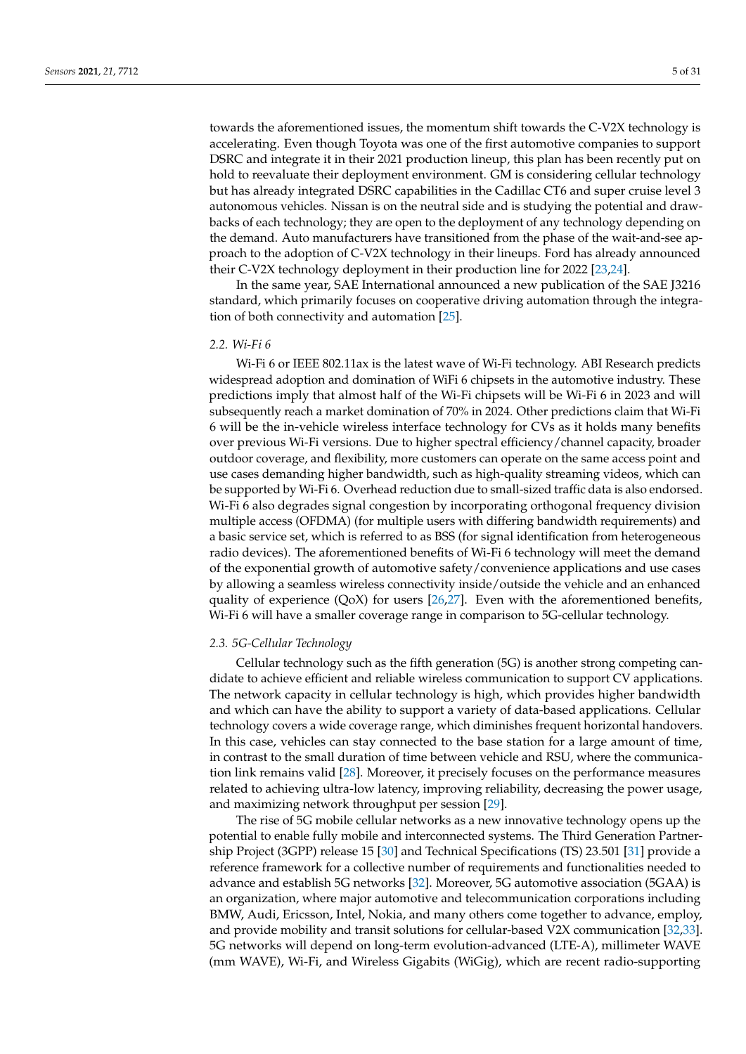towards the aforementioned issues, the momentum shift towards the C-V2X technology is accelerating. Even though Toyota was one of the first automotive companies to support DSRC and integrate it in their 2021 production lineup, this plan has been recently put on hold to reevaluate their deployment environment. GM is considering cellular technology but has already integrated DSRC capabilities in the Cadillac CT6 and super cruise level 3 autonomous vehicles. Nissan is on the neutral side and is studying the potential and drawbacks of each technology; they are open to the deployment of any technology depending on the demand. Auto manufacturers have transitioned from the phase of the wait-and-see approach to the adoption of C-V2X technology in their lineups. Ford has already announced their C-V2X technology deployment in their production line for 2022 [\[23](#page-25-13)[,24\]](#page-25-14).

In the same year, SAE International announced a new publication of the SAE J3216 standard, which primarily focuses on cooperative driving automation through the integration of both connectivity and automation [\[25\]](#page-25-15).

## *2.2. Wi-Fi 6*

Wi-Fi 6 or IEEE 802.11ax is the latest wave of Wi-Fi technology. ABI Research predicts widespread adoption and domination of WiFi 6 chipsets in the automotive industry. These predictions imply that almost half of the Wi-Fi chipsets will be Wi-Fi 6 in 2023 and will subsequently reach a market domination of 70% in 2024. Other predictions claim that Wi-Fi 6 will be the in-vehicle wireless interface technology for CVs as it holds many benefits over previous Wi-Fi versions. Due to higher spectral efficiency/channel capacity, broader outdoor coverage, and flexibility, more customers can operate on the same access point and use cases demanding higher bandwidth, such as high-quality streaming videos, which can be supported by Wi-Fi 6. Overhead reduction due to small-sized traffic data is also endorsed. Wi-Fi 6 also degrades signal congestion by incorporating orthogonal frequency division multiple access (OFDMA) (for multiple users with differing bandwidth requirements) and a basic service set, which is referred to as BSS (for signal identification from heterogeneous radio devices). The aforementioned benefits of Wi-Fi 6 technology will meet the demand of the exponential growth of automotive safety/convenience applications and use cases by allowing a seamless wireless connectivity inside/outside the vehicle and an enhanced quality of experience  $(QoX)$  for users [\[26,](#page-25-16)[27\]](#page-25-17). Even with the aforementioned benefits, Wi-Fi 6 will have a smaller coverage range in comparison to 5G-cellular technology.

#### *2.3. 5G-Cellular Technology*

Cellular technology such as the fifth generation (5G) is another strong competing candidate to achieve efficient and reliable wireless communication to support CV applications. The network capacity in cellular technology is high, which provides higher bandwidth and which can have the ability to support a variety of data-based applications. Cellular technology covers a wide coverage range, which diminishes frequent horizontal handovers. In this case, vehicles can stay connected to the base station for a large amount of time, in contrast to the small duration of time between vehicle and RSU, where the communication link remains valid [\[28\]](#page-25-18). Moreover, it precisely focuses on the performance measures related to achieving ultra-low latency, improving reliability, decreasing the power usage, and maximizing network throughput per session [\[29\]](#page-25-19).

The rise of 5G mobile cellular networks as a new innovative technology opens up the potential to enable fully mobile and interconnected systems. The Third Generation Partnership Project (3GPP) release 15 [\[30\]](#page-25-20) and Technical Specifications (TS) 23.501 [\[31\]](#page-25-21) provide a reference framework for a collective number of requirements and functionalities needed to advance and establish 5G networks [\[32\]](#page-25-22). Moreover, 5G automotive association (5GAA) is an organization, where major automotive and telecommunication corporations including BMW, Audi, Ericsson, Intel, Nokia, and many others come together to advance, employ, and provide mobility and transit solutions for cellular-based V2X communication [\[32,](#page-25-22)[33\]](#page-25-23). 5G networks will depend on long-term evolution-advanced (LTE-A), millimeter WAVE (mm WAVE), Wi-Fi, and Wireless Gigabits (WiGig), which are recent radio-supporting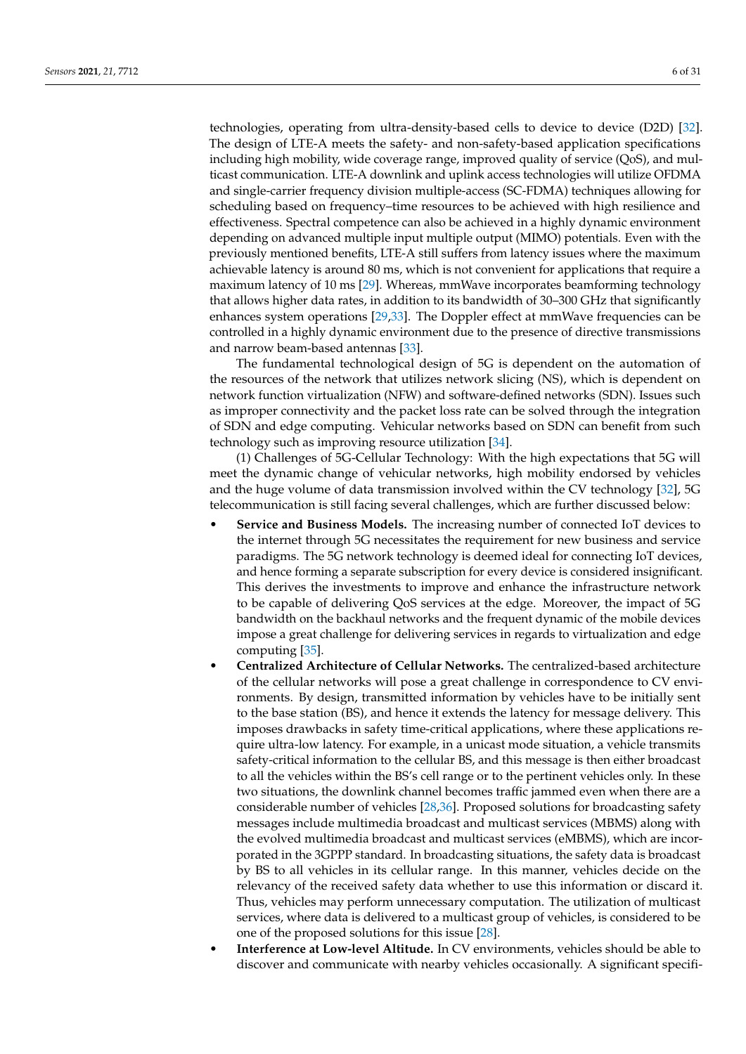technologies, operating from ultra-density-based cells to device to device (D2D) [\[32\]](#page-25-22). The design of LTE-A meets the safety- and non-safety-based application specifications including high mobility, wide coverage range, improved quality of service (QoS), and multicast communication. LTE-A downlink and uplink access technologies will utilize OFDMA and single-carrier frequency division multiple-access (SC-FDMA) techniques allowing for scheduling based on frequency–time resources to be achieved with high resilience and effectiveness. Spectral competence can also be achieved in a highly dynamic environment depending on advanced multiple input multiple output (MIMO) potentials. Even with the previously mentioned benefits, LTE-A still suffers from latency issues where the maximum achievable latency is around 80 ms, which is not convenient for applications that require a maximum latency of 10 ms [\[29\]](#page-25-19). Whereas, mmWave incorporates beamforming technology that allows higher data rates, in addition to its bandwidth of 30–300 GHz that significantly enhances system operations [\[29,](#page-25-19)[33\]](#page-25-23). The Doppler effect at mmWave frequencies can be controlled in a highly dynamic environment due to the presence of directive transmissions and narrow beam-based antennas [\[33\]](#page-25-23).

The fundamental technological design of 5G is dependent on the automation of the resources of the network that utilizes network slicing (NS), which is dependent on network function virtualization (NFW) and software-defined networks (SDN). Issues such as improper connectivity and the packet loss rate can be solved through the integration of SDN and edge computing. Vehicular networks based on SDN can benefit from such technology such as improving resource utilization [\[34\]](#page-25-24).

(1) Challenges of 5G-Cellular Technology: With the high expectations that 5G will meet the dynamic change of vehicular networks, high mobility endorsed by vehicles and the huge volume of data transmission involved within the CV technology [\[32\]](#page-25-22), 5G telecommunication is still facing several challenges, which are further discussed below:

- **Service and Business Models.** The increasing number of connected IoT devices to the internet through 5G necessitates the requirement for new business and service paradigms. The 5G network technology is deemed ideal for connecting IoT devices, and hence forming a separate subscription for every device is considered insignificant. This derives the investments to improve and enhance the infrastructure network to be capable of delivering QoS services at the edge. Moreover, the impact of 5G bandwidth on the backhaul networks and the frequent dynamic of the mobile devices impose a great challenge for delivering services in regards to virtualization and edge computing [\[35\]](#page-25-25).
- **Centralized Architecture of Cellular Networks.** The centralized-based architecture of the cellular networks will pose a great challenge in correspondence to CV environments. By design, transmitted information by vehicles have to be initially sent to the base station (BS), and hence it extends the latency for message delivery. This imposes drawbacks in safety time-critical applications, where these applications require ultra-low latency. For example, in a unicast mode situation, a vehicle transmits safety-critical information to the cellular BS, and this message is then either broadcast to all the vehicles within the BS's cell range or to the pertinent vehicles only. In these two situations, the downlink channel becomes traffic jammed even when there are a considerable number of vehicles [\[28,](#page-25-18)[36\]](#page-25-26). Proposed solutions for broadcasting safety messages include multimedia broadcast and multicast services (MBMS) along with the evolved multimedia broadcast and multicast services (eMBMS), which are incorporated in the 3GPPP standard. In broadcasting situations, the safety data is broadcast by BS to all vehicles in its cellular range. In this manner, vehicles decide on the relevancy of the received safety data whether to use this information or discard it. Thus, vehicles may perform unnecessary computation. The utilization of multicast services, where data is delivered to a multicast group of vehicles, is considered to be one of the proposed solutions for this issue [\[28\]](#page-25-18).
- **Interference at Low-level Altitude.** In CV environments, vehicles should be able to discover and communicate with nearby vehicles occasionally. A significant specifi-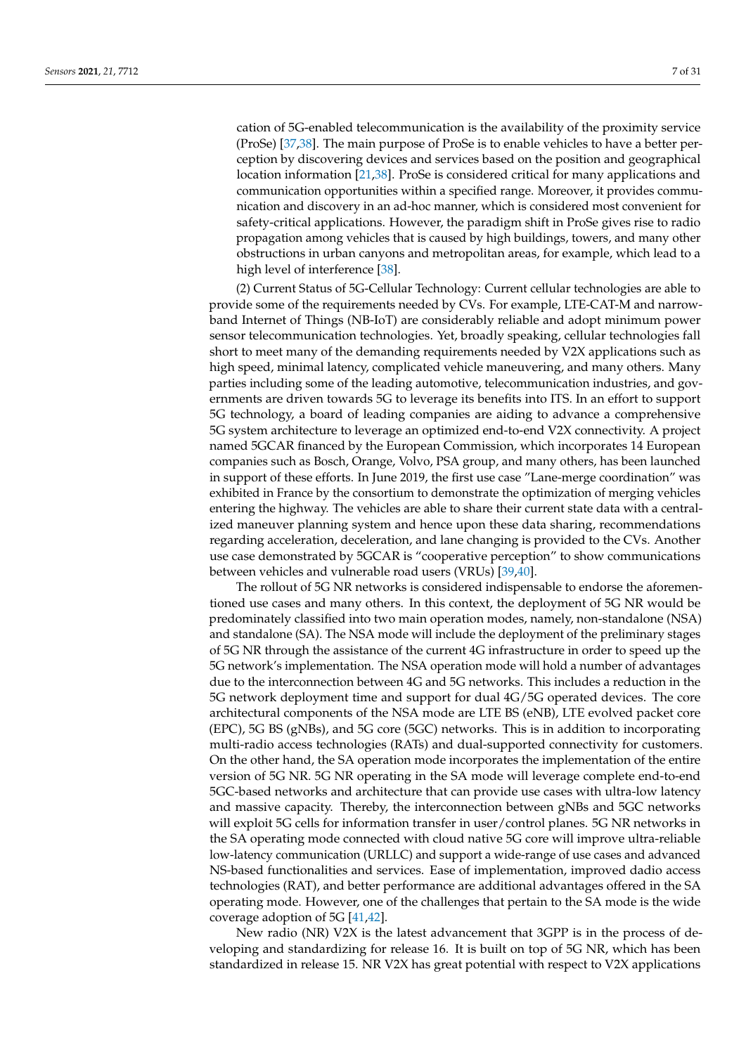cation of 5G-enabled telecommunication is the availability of the proximity service (ProSe) [\[37,](#page-25-27)[38\]](#page-26-0). The main purpose of ProSe is to enable vehicles to have a better perception by discovering devices and services based on the position and geographical location information [\[21](#page-25-11)[,38\]](#page-26-0). ProSe is considered critical for many applications and communication opportunities within a specified range. Moreover, it provides communication and discovery in an ad-hoc manner, which is considered most convenient for safety-critical applications. However, the paradigm shift in ProSe gives rise to radio propagation among vehicles that is caused by high buildings, towers, and many other obstructions in urban canyons and metropolitan areas, for example, which lead to a high level of interference [\[38\]](#page-26-0).

(2) Current Status of 5G-Cellular Technology: Current cellular technologies are able to provide some of the requirements needed by CVs. For example, LTE-CAT-M and narrowband Internet of Things (NB-IoT) are considerably reliable and adopt minimum power sensor telecommunication technologies. Yet, broadly speaking, cellular technologies fall short to meet many of the demanding requirements needed by V2X applications such as high speed, minimal latency, complicated vehicle maneuvering, and many others. Many parties including some of the leading automotive, telecommunication industries, and governments are driven towards 5G to leverage its benefits into ITS. In an effort to support 5G technology, a board of leading companies are aiding to advance a comprehensive 5G system architecture to leverage an optimized end-to-end V2X connectivity. A project named 5GCAR financed by the European Commission, which incorporates 14 European companies such as Bosch, Orange, Volvo, PSA group, and many others, has been launched in support of these efforts. In June 2019, the first use case "Lane-merge coordination" was exhibited in France by the consortium to demonstrate the optimization of merging vehicles entering the highway. The vehicles are able to share their current state data with a centralized maneuver planning system and hence upon these data sharing, recommendations regarding acceleration, deceleration, and lane changing is provided to the CVs. Another use case demonstrated by 5GCAR is "cooperative perception" to show communications between vehicles and vulnerable road users (VRUs) [\[39,](#page-26-1)[40\]](#page-26-2).

The rollout of 5G NR networks is considered indispensable to endorse the aforementioned use cases and many others. In this context, the deployment of 5G NR would be predominately classified into two main operation modes, namely, non-standalone (NSA) and standalone (SA). The NSA mode will include the deployment of the preliminary stages of 5G NR through the assistance of the current 4G infrastructure in order to speed up the 5G network's implementation. The NSA operation mode will hold a number of advantages due to the interconnection between 4G and 5G networks. This includes a reduction in the 5G network deployment time and support for dual 4G/5G operated devices. The core architectural components of the NSA mode are LTE BS (eNB), LTE evolved packet core (EPC), 5G BS (gNBs), and 5G core (5GC) networks. This is in addition to incorporating multi-radio access technologies (RATs) and dual-supported connectivity for customers. On the other hand, the SA operation mode incorporates the implementation of the entire version of 5G NR. 5G NR operating in the SA mode will leverage complete end-to-end 5GC-based networks and architecture that can provide use cases with ultra-low latency and massive capacity. Thereby, the interconnection between gNBs and 5GC networks will exploit 5G cells for information transfer in user/control planes. 5G NR networks in the SA operating mode connected with cloud native 5G core will improve ultra-reliable low-latency communication (URLLC) and support a wide-range of use cases and advanced NS-based functionalities and services. Ease of implementation, improved dadio access technologies (RAT), and better performance are additional advantages offered in the SA operating mode. However, one of the challenges that pertain to the SA mode is the wide coverage adoption of 5G [\[41,](#page-26-3)[42\]](#page-26-4).

New radio (NR) V2X is the latest advancement that 3GPP is in the process of developing and standardizing for release 16. It is built on top of 5G NR, which has been standardized in release 15. NR V2X has great potential with respect to V2X applications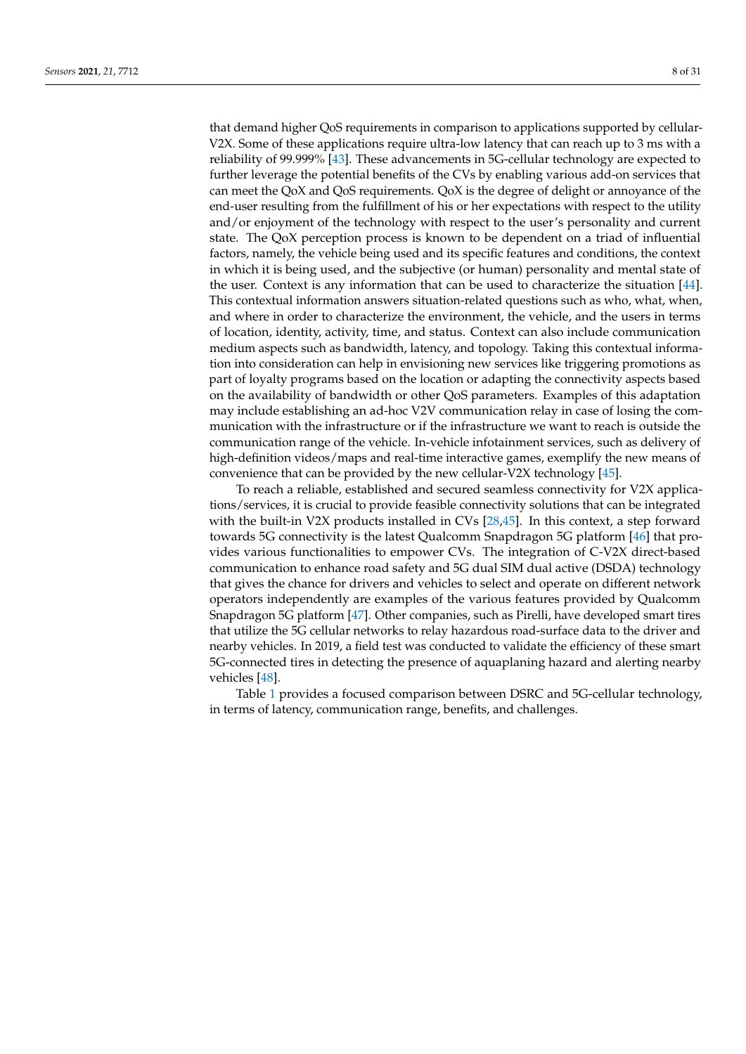that demand higher QoS requirements in comparison to applications supported by cellular-V2X. Some of these applications require ultra-low latency that can reach up to 3 ms with a reliability of 99.999% [\[43\]](#page-26-5). These advancements in 5G-cellular technology are expected to further leverage the potential benefits of the CVs by enabling various add-on services that can meet the QoX and QoS requirements. QoX is the degree of delight or annoyance of the end-user resulting from the fulfillment of his or her expectations with respect to the utility and/or enjoyment of the technology with respect to the user's personality and current state. The QoX perception process is known to be dependent on a triad of influential factors, namely, the vehicle being used and its specific features and conditions, the context in which it is being used, and the subjective (or human) personality and mental state of the user. Context is any information that can be used to characterize the situation [\[44\]](#page-26-6). This contextual information answers situation-related questions such as who, what, when, and where in order to characterize the environment, the vehicle, and the users in terms of location, identity, activity, time, and status. Context can also include communication medium aspects such as bandwidth, latency, and topology. Taking this contextual information into consideration can help in envisioning new services like triggering promotions as part of loyalty programs based on the location or adapting the connectivity aspects based on the availability of bandwidth or other QoS parameters. Examples of this adaptation may include establishing an ad-hoc V2V communication relay in case of losing the communication with the infrastructure or if the infrastructure we want to reach is outside the communication range of the vehicle. In-vehicle infotainment services, such as delivery of high-definition videos/maps and real-time interactive games, exemplify the new means of convenience that can be provided by the new cellular-V2X technology [\[45\]](#page-26-7).

To reach a reliable, established and secured seamless connectivity for V2X applications/services, it is crucial to provide feasible connectivity solutions that can be integrated with the built-in V2X products installed in CVs [\[28,](#page-25-18)[45\]](#page-26-7). In this context, a step forward towards 5G connectivity is the latest Qualcomm Snapdragon 5G platform [\[46\]](#page-26-8) that provides various functionalities to empower CVs. The integration of C-V2X direct-based communication to enhance road safety and 5G dual SIM dual active (DSDA) technology that gives the chance for drivers and vehicles to select and operate on different network operators independently are examples of the various features provided by Qualcomm Snapdragon 5G platform [\[47\]](#page-26-9). Other companies, such as Pirelli, have developed smart tires that utilize the 5G cellular networks to relay hazardous road-surface data to the driver and nearby vehicles. In 2019, a field test was conducted to validate the efficiency of these smart 5G-connected tires in detecting the presence of aquaplaning hazard and alerting nearby vehicles [\[48\]](#page-26-10).

Table [1](#page-8-0) provides a focused comparison between DSRC and 5G-cellular technology, in terms of latency, communication range, benefits, and challenges.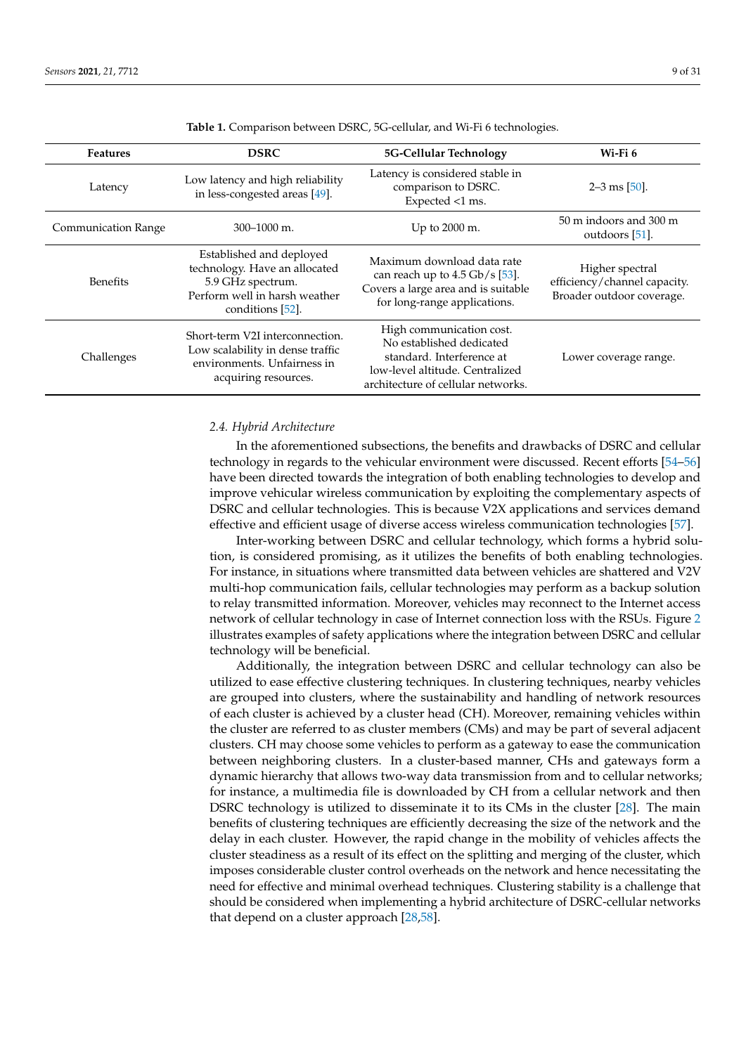<span id="page-8-0"></span>

| <b>Features</b>            | <b>DSRC</b>                                                                                                                         | 5G-Cellular Technology                                                                                                                                     | Wi-Fi 6                                                                      |
|----------------------------|-------------------------------------------------------------------------------------------------------------------------------------|------------------------------------------------------------------------------------------------------------------------------------------------------------|------------------------------------------------------------------------------|
| Latency                    | Low latency and high reliability<br>in less-congested areas [49].                                                                   | Latency is considered stable in<br>comparison to DSRC.<br>Expected <1 ms.                                                                                  | $2-3$ ms $[50]$ .                                                            |
| <b>Communication Range</b> | $300 - 1000$ m.                                                                                                                     | Up to 2000 m.                                                                                                                                              | 50 m indoors and 300 m<br>outdoors [51].                                     |
| <b>Benefits</b>            | Established and deployed<br>technology. Have an allocated<br>5.9 GHz spectrum.<br>Perform well in harsh weather<br>conditions [52]. | Maximum download data rate<br>can reach up to $4.5$ Gb/s [53].<br>Covers a large area and is suitable<br>for long-range applications.                      | Higher spectral<br>efficiency/channel capacity.<br>Broader outdoor coverage. |
| Challenges                 | Short-term V2I interconnection.<br>Low scalability in dense traffic<br>environments. Unfairness in<br>acquiring resources.          | High communication cost.<br>No established dedicated<br>standard. Interference at<br>low-level altitude. Centralized<br>architecture of cellular networks. | Lower coverage range.                                                        |

**Table 1.** Comparison between DSRC, 5G-cellular, and Wi-Fi 6 technologies.

### *2.4. Hybrid Architecture*

In the aforementioned subsections, the benefits and drawbacks of DSRC and cellular technology in regards to the vehicular environment were discussed. Recent efforts [\[54](#page-26-16)[–56\]](#page-26-17) have been directed towards the integration of both enabling technologies to develop and improve vehicular wireless communication by exploiting the complementary aspects of DSRC and cellular technologies. This is because V2X applications and services demand effective and efficient usage of diverse access wireless communication technologies [\[57\]](#page-26-18).

Inter-working between DSRC and cellular technology, which forms a hybrid solution, is considered promising, as it utilizes the benefits of both enabling technologies. For instance, in situations where transmitted data between vehicles are shattered and V2V multi-hop communication fails, cellular technologies may perform as a backup solution to relay transmitted information. Moreover, vehicles may reconnect to the Internet access network of cellular technology in case of Internet connection loss with the RSUs. Figure [2](#page-9-1) illustrates examples of safety applications where the integration between DSRC and cellular technology will be beneficial.

Additionally, the integration between DSRC and cellular technology can also be utilized to ease effective clustering techniques. In clustering techniques, nearby vehicles are grouped into clusters, where the sustainability and handling of network resources of each cluster is achieved by a cluster head (CH). Moreover, remaining vehicles within the cluster are referred to as cluster members (CMs) and may be part of several adjacent clusters. CH may choose some vehicles to perform as a gateway to ease the communication between neighboring clusters. In a cluster-based manner, CHs and gateways form a dynamic hierarchy that allows two-way data transmission from and to cellular networks; for instance, a multimedia file is downloaded by CH from a cellular network and then DSRC technology is utilized to disseminate it to its CMs in the cluster [\[28\]](#page-25-18). The main benefits of clustering techniques are efficiently decreasing the size of the network and the delay in each cluster. However, the rapid change in the mobility of vehicles affects the cluster steadiness as a result of its effect on the splitting and merging of the cluster, which imposes considerable cluster control overheads on the network and hence necessitating the need for effective and minimal overhead techniques. Clustering stability is a challenge that should be considered when implementing a hybrid architecture of DSRC-cellular networks that depend on a cluster approach [\[28](#page-25-18)[,58\]](#page-26-19).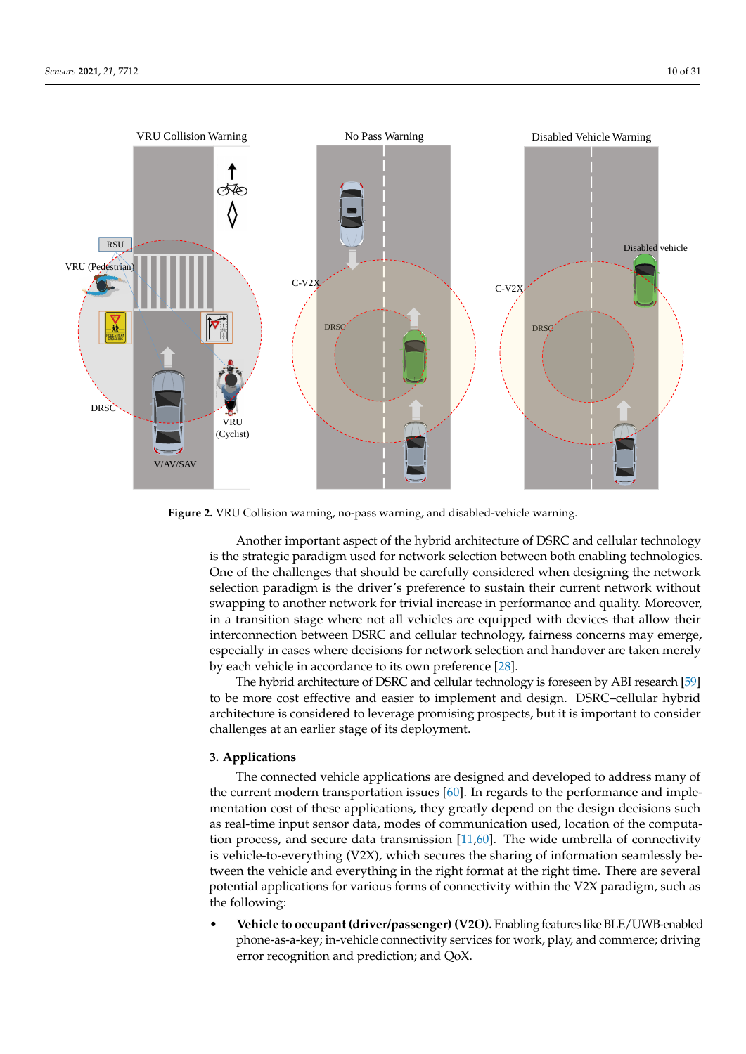<span id="page-9-1"></span>

**Figure 2.** VRU Collision warning, no-pass warning, and disabled-vehicle warning.

Another important aspect of the hybrid architecture of DSRC and cellular technology is the strategic paradigm used for network selection between both enabling technologies. One of the challenges that should be carefully considered when designing the network selection paradigm is the driver's preference to sustain their current network without swapping to another network for trivial increase in performance and quality. Moreover, in a transition stage where not all vehicles are equipped with devices that allow their interconnection between DSRC and cellular technology, fairness concerns may emerge, especially in cases where decisions for network selection and handover are taken merely by each vehicle in accordance to its own preference [\[28\]](#page-25-18).

The hybrid architecture of DSRC and cellular technology is foreseen by ABI research [\[59\]](#page-26-20) to be more cost effective and easier to implement and design. DSRC–cellular hybrid architecture is considered to leverage promising prospects, but it is important to consider challenges at an earlier stage of its deployment.

## <span id="page-9-0"></span>**3. Applications**

The connected vehicle applications are designed and developed to address many of the current modern transportation issues [\[60\]](#page-26-21). In regards to the performance and implementation cost of these applications, they greatly depend on the design decisions such as real-time input sensor data, modes of communication used, location of the computation process, and secure data transmission [\[11](#page-25-1)[,60\]](#page-26-21). The wide umbrella of connectivity is vehicle-to-everything  $(V2X)$ , which secures the sharing of information seamlessly between the vehicle and everything in the right format at the right time. There are several potential applications for various forms of connectivity within the V2X paradigm, such as the following:

• **Vehicle to occupant (driver/passenger) (V2O).** Enabling features like BLE/UWB-enabled phone-as-a-key; in-vehicle connectivity services for work, play, and commerce; driving error recognition and prediction; and QoX.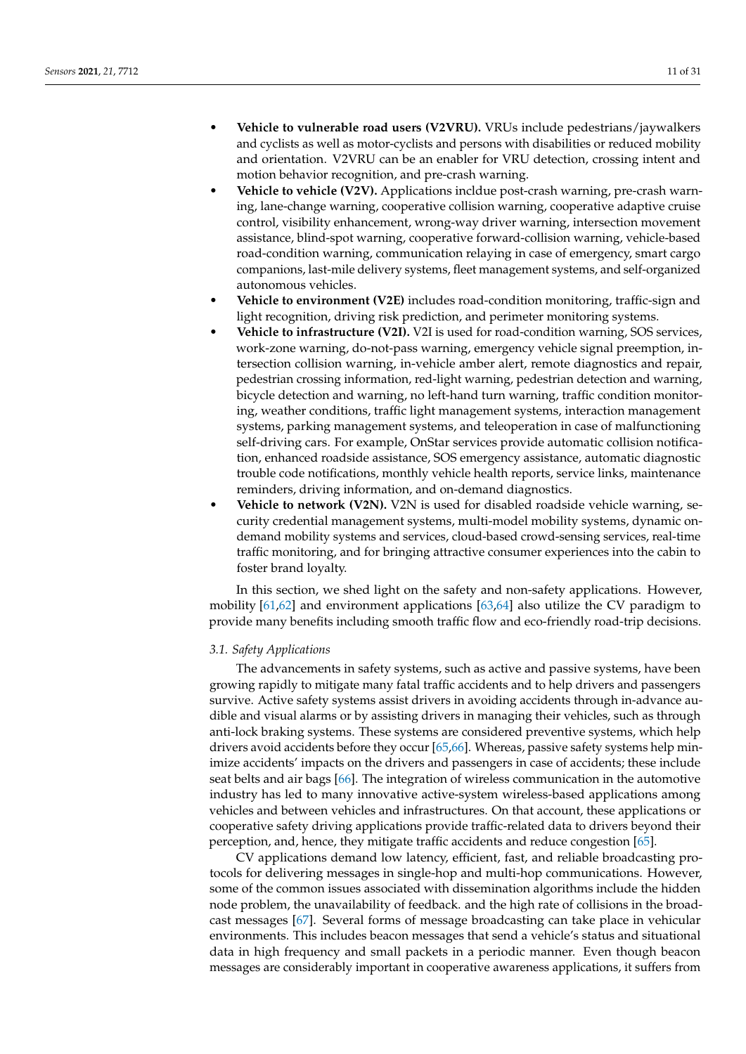- **Vehicle to vulnerable road users (V2VRU).** VRUs include pedestrians/jaywalkers and cyclists as well as motor-cyclists and persons with disabilities or reduced mobility and orientation. V2VRU can be an enabler for VRU detection, crossing intent and motion behavior recognition, and pre-crash warning.
- **Vehicle to vehicle (V2V).** Applications incldue post-crash warning, pre-crash warning, lane-change warning, cooperative collision warning, cooperative adaptive cruise control, visibility enhancement, wrong-way driver warning, intersection movement assistance, blind-spot warning, cooperative forward-collision warning, vehicle-based road-condition warning, communication relaying in case of emergency, smart cargo companions, last-mile delivery systems, fleet management systems, and self-organized autonomous vehicles.
- **Vehicle to environment (V2E)** includes road-condition monitoring, traffic-sign and light recognition, driving risk prediction, and perimeter monitoring systems.
- **Vehicle to infrastructure (V2I).** V2I is used for road-condition warning, SOS services, work-zone warning, do-not-pass warning, emergency vehicle signal preemption, intersection collision warning, in-vehicle amber alert, remote diagnostics and repair, pedestrian crossing information, red-light warning, pedestrian detection and warning, bicycle detection and warning, no left-hand turn warning, traffic condition monitoring, weather conditions, traffic light management systems, interaction management systems, parking management systems, and teleoperation in case of malfunctioning self-driving cars. For example, OnStar services provide automatic collision notification, enhanced roadside assistance, SOS emergency assistance, automatic diagnostic trouble code notifications, monthly vehicle health reports, service links, maintenance reminders, driving information, and on-demand diagnostics.
- **Vehicle to network (V2N).** V2N is used for disabled roadside vehicle warning, security credential management systems, multi-model mobility systems, dynamic ondemand mobility systems and services, cloud-based crowd-sensing services, real-time traffic monitoring, and for bringing attractive consumer experiences into the cabin to foster brand loyalty.

In this section, we shed light on the safety and non-safety applications. However, mobility [\[61](#page-26-22)[,62\]](#page-26-23) and environment applications [\[63](#page-26-24)[,64\]](#page-26-25) also utilize the CV paradigm to provide many benefits including smooth traffic flow and eco-friendly road-trip decisions.

## *3.1. Safety Applications*

The advancements in safety systems, such as active and passive systems, have been growing rapidly to mitigate many fatal traffic accidents and to help drivers and passengers survive. Active safety systems assist drivers in avoiding accidents through in-advance audible and visual alarms or by assisting drivers in managing their vehicles, such as through anti-lock braking systems. These systems are considered preventive systems, which help drivers avoid accidents before they occur [\[65,](#page-26-26)[66\]](#page-26-27). Whereas, passive safety systems help minimize accidents' impacts on the drivers and passengers in case of accidents; these include seat belts and air bags [\[66\]](#page-26-27). The integration of wireless communication in the automotive industry has led to many innovative active-system wireless-based applications among vehicles and between vehicles and infrastructures. On that account, these applications or cooperative safety driving applications provide traffic-related data to drivers beyond their perception, and, hence, they mitigate traffic accidents and reduce congestion [\[65\]](#page-26-26).

CV applications demand low latency, efficient, fast, and reliable broadcasting protocols for delivering messages in single-hop and multi-hop communications. However, some of the common issues associated with dissemination algorithms include the hidden node problem, the unavailability of feedback. and the high rate of collisions in the broadcast messages [\[67\]](#page-26-28). Several forms of message broadcasting can take place in vehicular environments. This includes beacon messages that send a vehicle's status and situational data in high frequency and small packets in a periodic manner. Even though beacon messages are considerably important in cooperative awareness applications, it suffers from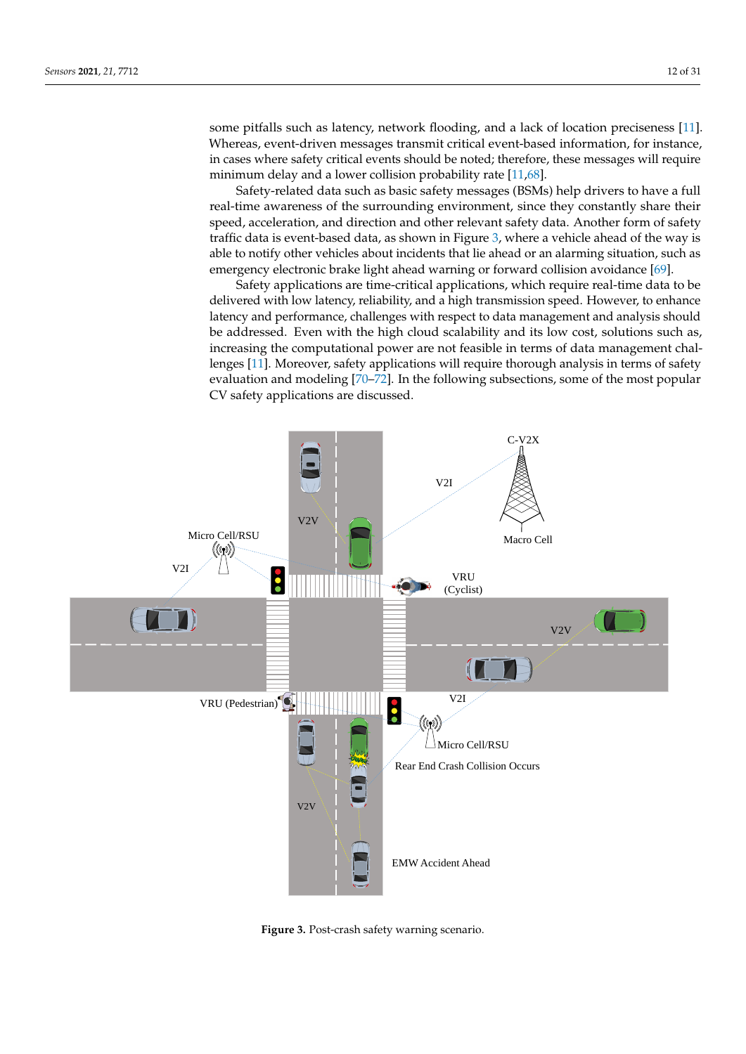some pitfalls such as latency, network flooding, and a lack of location preciseness [\[11\]](#page-25-1). Whereas, event-driven messages transmit critical event-based information, for instance, in cases where safety critical events should be noted; therefore, these messages will require minimum delay and a lower collision probability rate [\[11](#page-25-1)[,68\]](#page-27-0).

Safety-related data such as basic safety messages (BSMs) help drivers to have a full real-time awareness of the surrounding environment, since they constantly share their speed, acceleration, and direction and other relevant safety data. Another form of safety traffic data is event-based data, as shown in Figure [3,](#page-11-0) where a vehicle ahead of the way is able to notify other vehicles about incidents that lie ahead or an alarming situation, such as emergency electronic brake light ahead warning or forward collision avoidance [\[69\]](#page-27-1).

Safety applications are time-critical applications, which require real-time data to be delivered with low latency, reliability, and a high transmission speed. However, to enhance latency and performance, challenges with respect to data management and analysis should be addressed. Even with the high cloud scalability and its low cost, solutions such as, increasing the computational power are not feasible in terms of data management challenges [\[11\]](#page-25-1). Moreover, safety applications will require thorough analysis in terms of safety evaluation and modeling [\[70–](#page-27-2)[72\]](#page-27-3). In the following subsections, some of the most popular CV safety applications are discussed.

<span id="page-11-0"></span>

**Figure 3.** Post-crash safety warning scenario.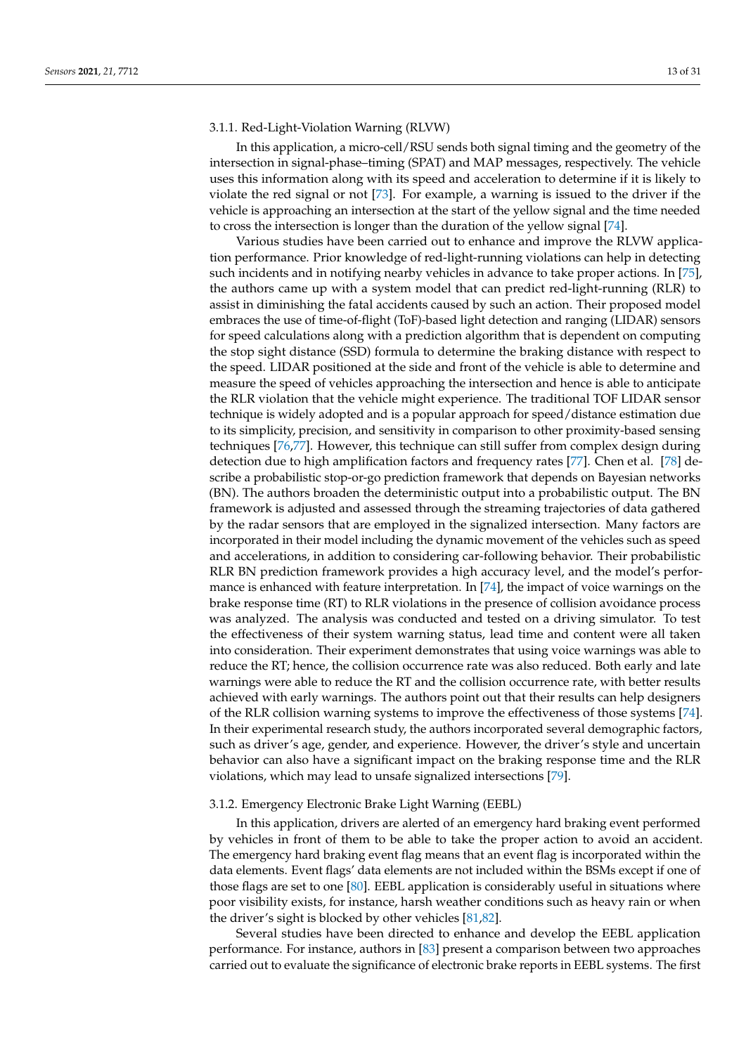### 3.1.1. Red-Light-Violation Warning (RLVW)

In this application, a micro-cell/RSU sends both signal timing and the geometry of the intersection in signal-phase–timing (SPAT) and MAP messages, respectively. The vehicle uses this information along with its speed and acceleration to determine if it is likely to violate the red signal or not [\[73\]](#page-27-4). For example, a warning is issued to the driver if the vehicle is approaching an intersection at the start of the yellow signal and the time needed to cross the intersection is longer than the duration of the yellow signal [\[74\]](#page-27-5).

Various studies have been carried out to enhance and improve the RLVW application performance. Prior knowledge of red-light-running violations can help in detecting such incidents and in notifying nearby vehicles in advance to take proper actions. In [\[75\]](#page-27-6), the authors came up with a system model that can predict red-light-running (RLR) to assist in diminishing the fatal accidents caused by such an action. Their proposed model embraces the use of time-of-flight (ToF)-based light detection and ranging (LIDAR) sensors for speed calculations along with a prediction algorithm that is dependent on computing the stop sight distance (SSD) formula to determine the braking distance with respect to the speed. LIDAR positioned at the side and front of the vehicle is able to determine and measure the speed of vehicles approaching the intersection and hence is able to anticipate the RLR violation that the vehicle might experience. The traditional TOF LIDAR sensor technique is widely adopted and is a popular approach for speed/distance estimation due to its simplicity, precision, and sensitivity in comparison to other proximity-based sensing techniques [\[76,](#page-27-7)[77\]](#page-27-8). However, this technique can still suffer from complex design during detection due to high amplification factors and frequency rates [\[77\]](#page-27-8). Chen et al. [\[78\]](#page-27-9) describe a probabilistic stop-or-go prediction framework that depends on Bayesian networks (BN). The authors broaden the deterministic output into a probabilistic output. The BN framework is adjusted and assessed through the streaming trajectories of data gathered by the radar sensors that are employed in the signalized intersection. Many factors are incorporated in their model including the dynamic movement of the vehicles such as speed and accelerations, in addition to considering car-following behavior. Their probabilistic RLR BN prediction framework provides a high accuracy level, and the model's performance is enhanced with feature interpretation. In [\[74\]](#page-27-5), the impact of voice warnings on the brake response time (RT) to RLR violations in the presence of collision avoidance process was analyzed. The analysis was conducted and tested on a driving simulator. To test the effectiveness of their system warning status, lead time and content were all taken into consideration. Their experiment demonstrates that using voice warnings was able to reduce the RT; hence, the collision occurrence rate was also reduced. Both early and late warnings were able to reduce the RT and the collision occurrence rate, with better results achieved with early warnings. The authors point out that their results can help designers of the RLR collision warning systems to improve the effectiveness of those systems [\[74\]](#page-27-5). In their experimental research study, the authors incorporated several demographic factors, such as driver's age, gender, and experience. However, the driver's style and uncertain behavior can also have a significant impact on the braking response time and the RLR violations, which may lead to unsafe signalized intersections [\[79\]](#page-27-10).

## 3.1.2. Emergency Electronic Brake Light Warning (EEBL)

In this application, drivers are alerted of an emergency hard braking event performed by vehicles in front of them to be able to take the proper action to avoid an accident. The emergency hard braking event flag means that an event flag is incorporated within the data elements. Event flags' data elements are not included within the BSMs except if one of those flags are set to one [\[80\]](#page-27-11). EEBL application is considerably useful in situations where poor visibility exists, for instance, harsh weather conditions such as heavy rain or when the driver's sight is blocked by other vehicles [\[81](#page-27-12)[,82\]](#page-27-13).

Several studies have been directed to enhance and develop the EEBL application performance. For instance, authors in [\[83\]](#page-27-14) present a comparison between two approaches carried out to evaluate the significance of electronic brake reports in EEBL systems. The first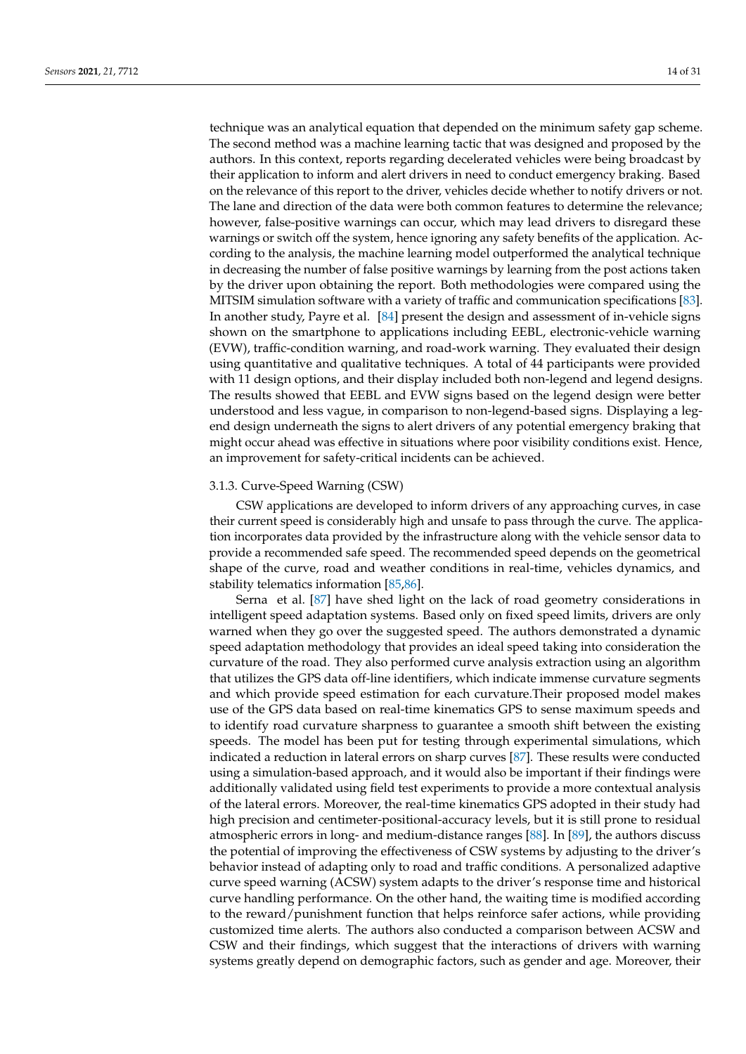technique was an analytical equation that depended on the minimum safety gap scheme. The second method was a machine learning tactic that was designed and proposed by the authors. In this context, reports regarding decelerated vehicles were being broadcast by their application to inform and alert drivers in need to conduct emergency braking. Based on the relevance of this report to the driver, vehicles decide whether to notify drivers or not. The lane and direction of the data were both common features to determine the relevance; however, false-positive warnings can occur, which may lead drivers to disregard these warnings or switch off the system, hence ignoring any safety benefits of the application. According to the analysis, the machine learning model outperformed the analytical technique in decreasing the number of false positive warnings by learning from the post actions taken by the driver upon obtaining the report. Both methodologies were compared using the MITSIM simulation software with a variety of traffic and communication specifications [\[83\]](#page-27-14). In another study, Payre et al. [\[84\]](#page-27-15) present the design and assessment of in-vehicle signs shown on the smartphone to applications including EEBL, electronic-vehicle warning (EVW), traffic-condition warning, and road-work warning. They evaluated their design using quantitative and qualitative techniques. A total of 44 participants were provided with 11 design options, and their display included both non-legend and legend designs. The results showed that EEBL and EVW signs based on the legend design were better understood and less vague, in comparison to non-legend-based signs. Displaying a legend design underneath the signs to alert drivers of any potential emergency braking that might occur ahead was effective in situations where poor visibility conditions exist. Hence, an improvement for safety-critical incidents can be achieved.

## 3.1.3. Curve-Speed Warning (CSW)

CSW applications are developed to inform drivers of any approaching curves, in case their current speed is considerably high and unsafe to pass through the curve. The application incorporates data provided by the infrastructure along with the vehicle sensor data to provide a recommended safe speed. The recommended speed depends on the geometrical shape of the curve, road and weather conditions in real-time, vehicles dynamics, and stability telematics information [\[85](#page-27-16)[,86\]](#page-27-17).

Serna et al. [\[87\]](#page-27-18) have shed light on the lack of road geometry considerations in intelligent speed adaptation systems. Based only on fixed speed limits, drivers are only warned when they go over the suggested speed. The authors demonstrated a dynamic speed adaptation methodology that provides an ideal speed taking into consideration the curvature of the road. They also performed curve analysis extraction using an algorithm that utilizes the GPS data off-line identifiers, which indicate immense curvature segments and which provide speed estimation for each curvature.Their proposed model makes use of the GPS data based on real-time kinematics GPS to sense maximum speeds and to identify road curvature sharpness to guarantee a smooth shift between the existing speeds. The model has been put for testing through experimental simulations, which indicated a reduction in lateral errors on sharp curves [\[87\]](#page-27-18). These results were conducted using a simulation-based approach, and it would also be important if their findings were additionally validated using field test experiments to provide a more contextual analysis of the lateral errors. Moreover, the real-time kinematics GPS adopted in their study had high precision and centimeter-positional-accuracy levels, but it is still prone to residual atmospheric errors in long- and medium-distance ranges [\[88\]](#page-27-19). In [\[89\]](#page-27-20), the authors discuss the potential of improving the effectiveness of CSW systems by adjusting to the driver's behavior instead of adapting only to road and traffic conditions. A personalized adaptive curve speed warning (ACSW) system adapts to the driver's response time and historical curve handling performance. On the other hand, the waiting time is modified according to the reward/punishment function that helps reinforce safer actions, while providing customized time alerts. The authors also conducted a comparison between ACSW and CSW and their findings, which suggest that the interactions of drivers with warning systems greatly depend on demographic factors, such as gender and age. Moreover, their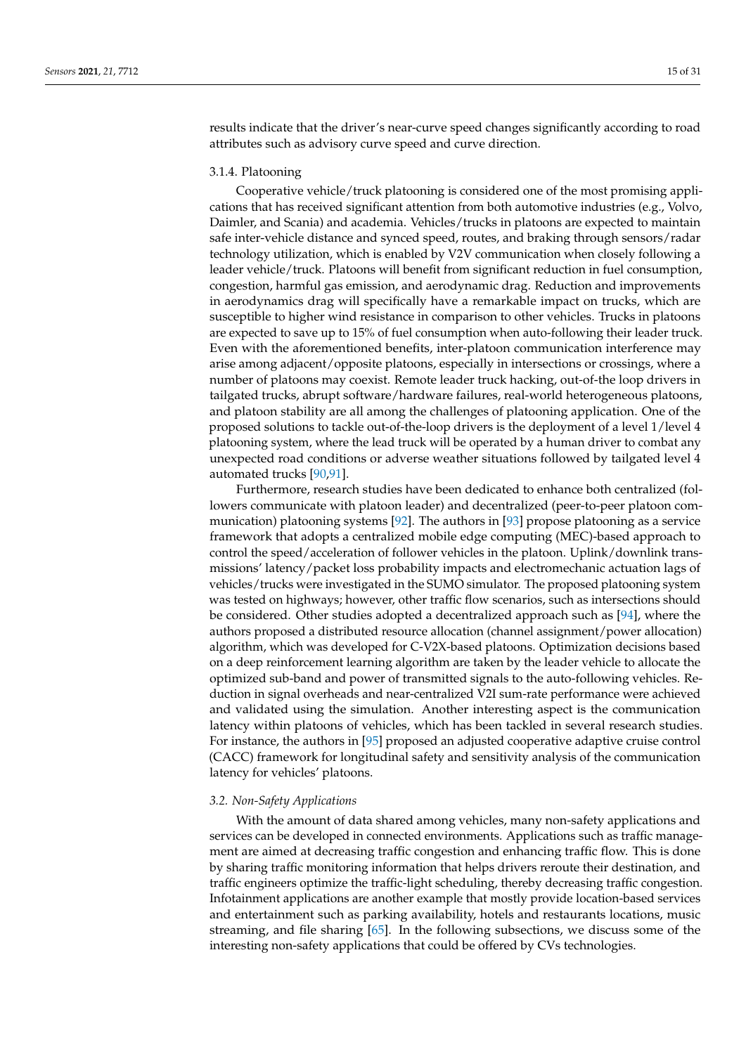results indicate that the driver's near-curve speed changes significantly according to road attributes such as advisory curve speed and curve direction.

## 3.1.4. Platooning

Cooperative vehicle/truck platooning is considered one of the most promising applications that has received significant attention from both automotive industries (e.g., Volvo, Daimler, and Scania) and academia. Vehicles/trucks in platoons are expected to maintain safe inter-vehicle distance and synced speed, routes, and braking through sensors/radar technology utilization, which is enabled by V2V communication when closely following a leader vehicle/truck. Platoons will benefit from significant reduction in fuel consumption, congestion, harmful gas emission, and aerodynamic drag. Reduction and improvements in aerodynamics drag will specifically have a remarkable impact on trucks, which are susceptible to higher wind resistance in comparison to other vehicles. Trucks in platoons are expected to save up to 15% of fuel consumption when auto-following their leader truck. Even with the aforementioned benefits, inter-platoon communication interference may arise among adjacent/opposite platoons, especially in intersections or crossings, where a number of platoons may coexist. Remote leader truck hacking, out-of-the loop drivers in tailgated trucks, abrupt software/hardware failures, real-world heterogeneous platoons, and platoon stability are all among the challenges of platooning application. One of the proposed solutions to tackle out-of-the-loop drivers is the deployment of a level 1/level 4 platooning system, where the lead truck will be operated by a human driver to combat any unexpected road conditions or adverse weather situations followed by tailgated level 4 automated trucks [\[90](#page-27-21)[,91\]](#page-27-22).

Furthermore, research studies have been dedicated to enhance both centralized (followers communicate with platoon leader) and decentralized (peer-to-peer platoon communication) platooning systems [\[92\]](#page-27-23). The authors in [\[93\]](#page-27-24) propose platooning as a service framework that adopts a centralized mobile edge computing (MEC)-based approach to control the speed/acceleration of follower vehicles in the platoon. Uplink/downlink transmissions' latency/packet loss probability impacts and electromechanic actuation lags of vehicles/trucks were investigated in the SUMO simulator. The proposed platooning system was tested on highways; however, other traffic flow scenarios, such as intersections should be considered. Other studies adopted a decentralized approach such as [\[94\]](#page-27-25), where the authors proposed a distributed resource allocation (channel assignment/power allocation) algorithm, which was developed for C-V2X-based platoons. Optimization decisions based on a deep reinforcement learning algorithm are taken by the leader vehicle to allocate the optimized sub-band and power of transmitted signals to the auto-following vehicles. Reduction in signal overheads and near-centralized V2I sum-rate performance were achieved and validated using the simulation. Another interesting aspect is the communication latency within platoons of vehicles, which has been tackled in several research studies. For instance, the authors in [\[95\]](#page-28-0) proposed an adjusted cooperative adaptive cruise control (CACC) framework for longitudinal safety and sensitivity analysis of the communication latency for vehicles' platoons.

## *3.2. Non-Safety Applications*

With the amount of data shared among vehicles, many non-safety applications and services can be developed in connected environments. Applications such as traffic management are aimed at decreasing traffic congestion and enhancing traffic flow. This is done by sharing traffic monitoring information that helps drivers reroute their destination, and traffic engineers optimize the traffic-light scheduling, thereby decreasing traffic congestion. Infotainment applications are another example that mostly provide location-based services and entertainment such as parking availability, hotels and restaurants locations, music streaming, and file sharing [\[65\]](#page-26-26). In the following subsections, we discuss some of the interesting non-safety applications that could be offered by CVs technologies.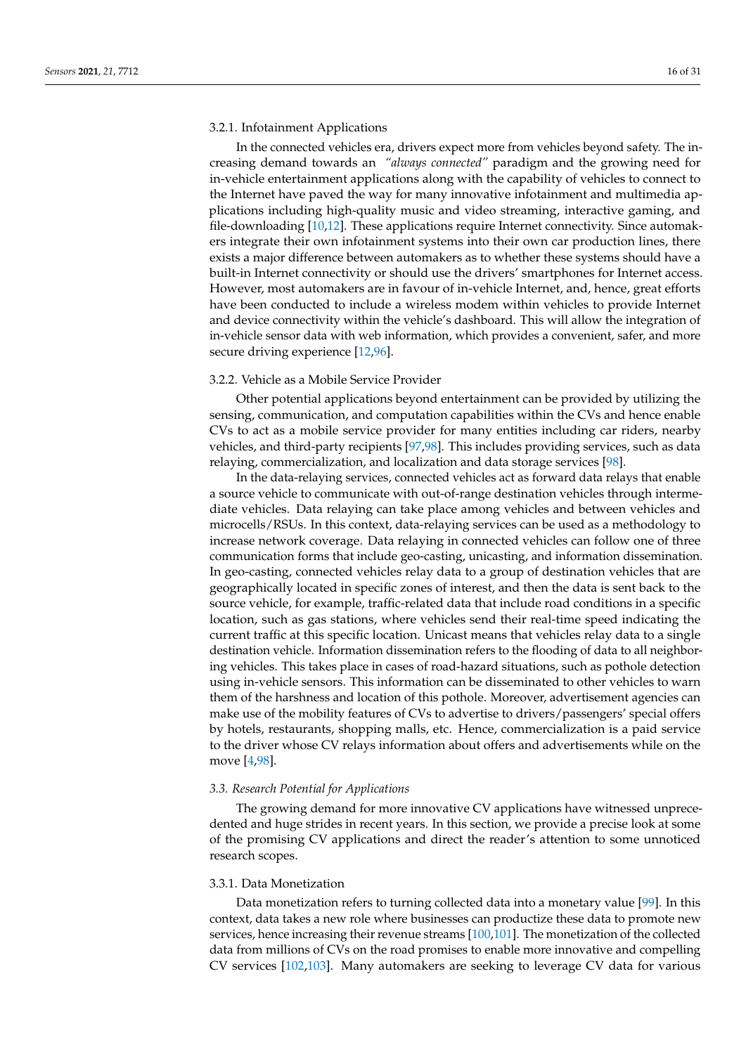### 3.2.1. Infotainment Applications

In the connected vehicles era, drivers expect more from vehicles beyond safety. The increasing demand towards an *"always connected"* paradigm and the growing need for in-vehicle entertainment applications along with the capability of vehicles to connect to the Internet have paved the way for many innovative infotainment and multimedia applications including high-quality music and video streaming, interactive gaming, and file-downloading [\[10](#page-25-0)[,12\]](#page-25-2). These applications require Internet connectivity. Since automakers integrate their own infotainment systems into their own car production lines, there exists a major difference between automakers as to whether these systems should have a built-in Internet connectivity or should use the drivers' smartphones for Internet access. However, most automakers are in favour of in-vehicle Internet, and, hence, great efforts have been conducted to include a wireless modem within vehicles to provide Internet and device connectivity within the vehicle's dashboard. This will allow the integration of in-vehicle sensor data with web information, which provides a convenient, safer, and more secure driving experience [\[12,](#page-25-2)[96\]](#page-28-1).

## 3.2.2. Vehicle as a Mobile Service Provider

Other potential applications beyond entertainment can be provided by utilizing the sensing, communication, and computation capabilities within the CVs and hence enable CVs to act as a mobile service provider for many entities including car riders, nearby vehicles, and third-party recipients [\[97,](#page-28-2)[98\]](#page-28-3). This includes providing services, such as data relaying, commercialization, and localization and data storage services [\[98\]](#page-28-3).

In the data-relaying services, connected vehicles act as forward data relays that enable a source vehicle to communicate with out-of-range destination vehicles through intermediate vehicles. Data relaying can take place among vehicles and between vehicles and microcells/RSUs. In this context, data-relaying services can be used as a methodology to increase network coverage. Data relaying in connected vehicles can follow one of three communication forms that include geo-casting, unicasting, and information dissemination. In geo-casting, connected vehicles relay data to a group of destination vehicles that are geographically located in specific zones of interest, and then the data is sent back to the source vehicle, for example, traffic-related data that include road conditions in a specific location, such as gas stations, where vehicles send their real-time speed indicating the current traffic at this specific location. Unicast means that vehicles relay data to a single destination vehicle. Information dissemination refers to the flooding of data to all neighboring vehicles. This takes place in cases of road-hazard situations, such as pothole detection using in-vehicle sensors. This information can be disseminated to other vehicles to warn them of the harshness and location of this pothole. Moreover, advertisement agencies can make use of the mobility features of CVs to advertise to drivers/passengers' special offers by hotels, restaurants, shopping malls, etc. Hence, commercialization is a paid service to the driver whose CV relays information about offers and advertisements while on the move [\[4,](#page-24-3)[98\]](#page-28-3).

#### *3.3. Research Potential for Applications*

The growing demand for more innovative CV applications have witnessed unprecedented and huge strides in recent years. In this section, we provide a precise look at some of the promising CV applications and direct the reader's attention to some unnoticed research scopes.

## 3.3.1. Data Monetization

Data monetization refers to turning collected data into a monetary value [\[99\]](#page-28-4). In this context, data takes a new role where businesses can productize these data to promote new services, hence increasing their revenue streams [\[100,](#page-28-5)[101\]](#page-28-6). The monetization of the collected data from millions of CVs on the road promises to enable more innovative and compelling CV services [\[102](#page-28-7)[,103\]](#page-28-8). Many automakers are seeking to leverage CV data for various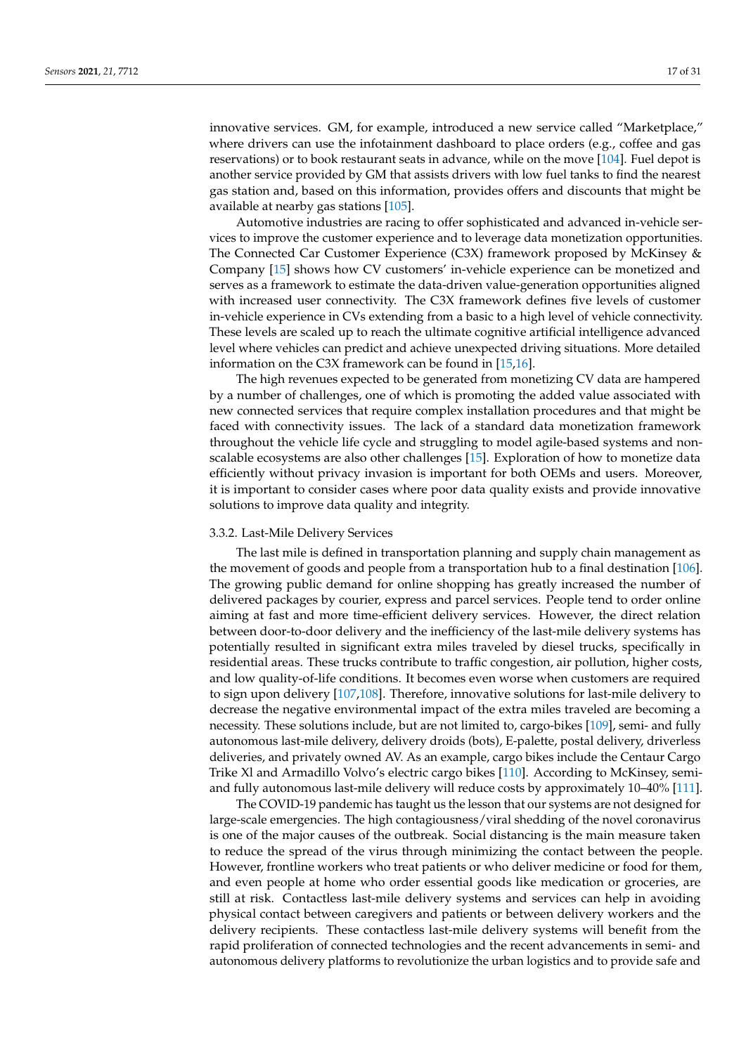innovative services. GM, for example, introduced a new service called "Marketplace," where drivers can use the infotainment dashboard to place orders (e.g., coffee and gas reservations) or to book restaurant seats in advance, while on the move [\[104\]](#page-28-9). Fuel depot is another service provided by GM that assists drivers with low fuel tanks to find the nearest gas station and, based on this information, provides offers and discounts that might be available at nearby gas stations [\[105\]](#page-28-10).

Automotive industries are racing to offer sophisticated and advanced in-vehicle services to improve the customer experience and to leverage data monetization opportunities. The Connected Car Customer Experience (C3X) framework proposed by McKinsey & Company [\[15\]](#page-25-5) shows how CV customers' in-vehicle experience can be monetized and serves as a framework to estimate the data-driven value-generation opportunities aligned with increased user connectivity. The C3X framework defines five levels of customer in-vehicle experience in CVs extending from a basic to a high level of vehicle connectivity. These levels are scaled up to reach the ultimate cognitive artificial intelligence advanced level where vehicles can predict and achieve unexpected driving situations. More detailed information on the C3X framework can be found in [\[15,](#page-25-5)[16\]](#page-25-6).

The high revenues expected to be generated from monetizing CV data are hampered by a number of challenges, one of which is promoting the added value associated with new connected services that require complex installation procedures and that might be faced with connectivity issues. The lack of a standard data monetization framework throughout the vehicle life cycle and struggling to model agile-based systems and nonscalable ecosystems are also other challenges [\[15\]](#page-25-5). Exploration of how to monetize data efficiently without privacy invasion is important for both OEMs and users. Moreover, it is important to consider cases where poor data quality exists and provide innovative solutions to improve data quality and integrity.

#### 3.3.2. Last-Mile Delivery Services

The last mile is defined in transportation planning and supply chain management as the movement of goods and people from a transportation hub to a final destination [\[106\]](#page-28-11). The growing public demand for online shopping has greatly increased the number of delivered packages by courier, express and parcel services. People tend to order online aiming at fast and more time-efficient delivery services. However, the direct relation between door-to-door delivery and the inefficiency of the last-mile delivery systems has potentially resulted in significant extra miles traveled by diesel trucks, specifically in residential areas. These trucks contribute to traffic congestion, air pollution, higher costs, and low quality-of-life conditions. It becomes even worse when customers are required to sign upon delivery [\[107](#page-28-12)[,108\]](#page-28-13). Therefore, innovative solutions for last-mile delivery to decrease the negative environmental impact of the extra miles traveled are becoming a necessity. These solutions include, but are not limited to, cargo-bikes [\[109\]](#page-28-14), semi- and fully autonomous last-mile delivery, delivery droids (bots), E-palette, postal delivery, driverless deliveries, and privately owned AV. As an example, cargo bikes include the Centaur Cargo Trike Xl and Armadillo Volvo's electric cargo bikes [\[110\]](#page-28-15). According to McKinsey, semiand fully autonomous last-mile delivery will reduce costs by approximately 10–40% [\[111\]](#page-28-16).

The COVID-19 pandemic has taught us the lesson that our systems are not designed for large-scale emergencies. The high contagiousness/viral shedding of the novel coronavirus is one of the major causes of the outbreak. Social distancing is the main measure taken to reduce the spread of the virus through minimizing the contact between the people. However, frontline workers who treat patients or who deliver medicine or food for them, and even people at home who order essential goods like medication or groceries, are still at risk. Contactless last-mile delivery systems and services can help in avoiding physical contact between caregivers and patients or between delivery workers and the delivery recipients. These contactless last-mile delivery systems will benefit from the rapid proliferation of connected technologies and the recent advancements in semi- and autonomous delivery platforms to revolutionize the urban logistics and to provide safe and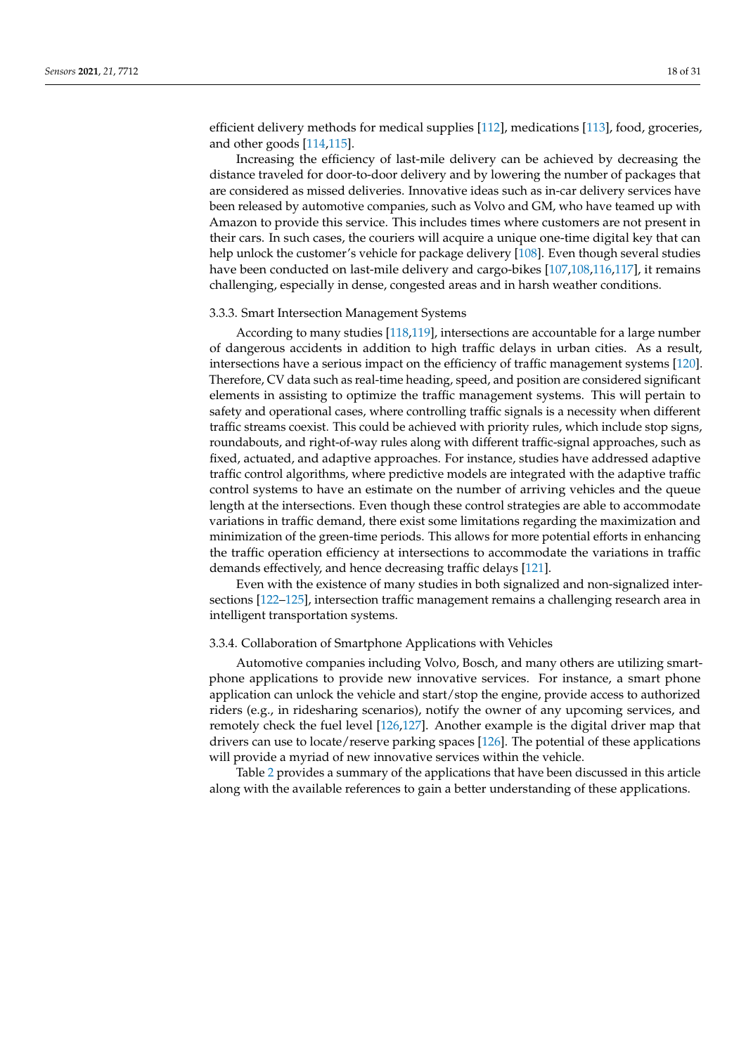efficient delivery methods for medical supplies [\[112\]](#page-28-17), medications [\[113\]](#page-28-18), food, groceries, and other goods [\[114](#page-28-19)[,115\]](#page-28-20).

Increasing the efficiency of last-mile delivery can be achieved by decreasing the distance traveled for door-to-door delivery and by lowering the number of packages that are considered as missed deliveries. Innovative ideas such as in-car delivery services have been released by automotive companies, such as Volvo and GM, who have teamed up with Amazon to provide this service. This includes times where customers are not present in their cars. In such cases, the couriers will acquire a unique one-time digital key that can help unlock the customer's vehicle for package delivery [\[108\]](#page-28-13). Even though several studies have been conducted on last-mile delivery and cargo-bikes [\[107](#page-28-12)[,108](#page-28-13)[,116](#page-28-21)[,117\]](#page-28-22), it remains challenging, especially in dense, congested areas and in harsh weather conditions.

#### 3.3.3. Smart Intersection Management Systems

According to many studies [\[118,](#page-28-23)[119\]](#page-28-24), intersections are accountable for a large number of dangerous accidents in addition to high traffic delays in urban cities. As a result, intersections have a serious impact on the efficiency of traffic management systems [\[120\]](#page-28-25). Therefore, CV data such as real-time heading, speed, and position are considered significant elements in assisting to optimize the traffic management systems. This will pertain to safety and operational cases, where controlling traffic signals is a necessity when different traffic streams coexist. This could be achieved with priority rules, which include stop signs, roundabouts, and right-of-way rules along with different traffic-signal approaches, such as fixed, actuated, and adaptive approaches. For instance, studies have addressed adaptive traffic control algorithms, where predictive models are integrated with the adaptive traffic control systems to have an estimate on the number of arriving vehicles and the queue length at the intersections. Even though these control strategies are able to accommodate variations in traffic demand, there exist some limitations regarding the maximization and minimization of the green-time periods. This allows for more potential efforts in enhancing the traffic operation efficiency at intersections to accommodate the variations in traffic demands effectively, and hence decreasing traffic delays [\[121\]](#page-28-26).

Even with the existence of many studies in both signalized and non-signalized intersections [\[122–](#page-28-27)[125\]](#page-29-0), intersection traffic management remains a challenging research area in intelligent transportation systems.

## 3.3.4. Collaboration of Smartphone Applications with Vehicles

Automotive companies including Volvo, Bosch, and many others are utilizing smartphone applications to provide new innovative services. For instance, a smart phone application can unlock the vehicle and start/stop the engine, provide access to authorized riders (e.g., in ridesharing scenarios), notify the owner of any upcoming services, and remotely check the fuel level [\[126](#page-29-1)[,127\]](#page-29-2). Another example is the digital driver map that drivers can use to locate/reserve parking spaces [\[126\]](#page-29-1). The potential of these applications will provide a myriad of new innovative services within the vehicle.

Table [2](#page-18-1) provides a summary of the applications that have been discussed in this article along with the available references to gain a better understanding of these applications.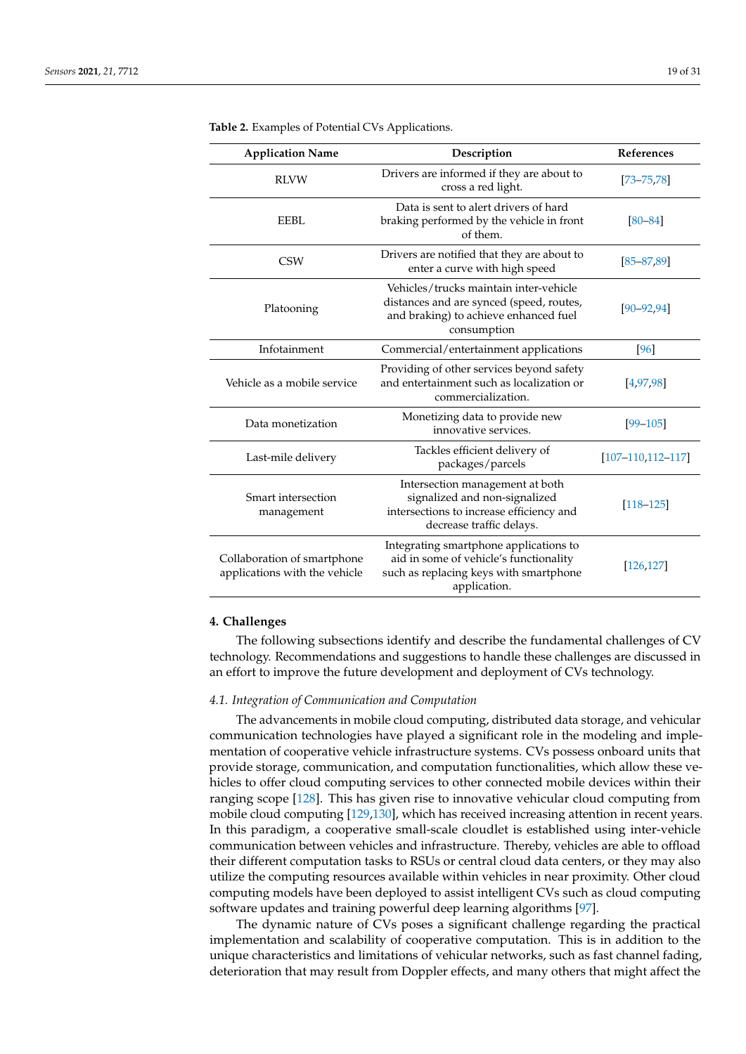| <b>Application Name</b>                                      | Description                                                                                                                                | References               |
|--------------------------------------------------------------|--------------------------------------------------------------------------------------------------------------------------------------------|--------------------------|
| <b>RLVW</b>                                                  | Drivers are informed if they are about to<br>cross a red light.                                                                            | $[73 - 75, 78]$          |
| EEBL                                                         | Data is sent to alert drivers of hard<br>braking performed by the vehicle in front<br>of them.                                             | $[80 - 84]$              |
| <b>CSW</b>                                                   | Drivers are notified that they are about to<br>enter a curve with high speed                                                               | $[85 - 87, 89]$          |
| Platooning                                                   | Vehicles/trucks maintain inter-vehicle<br>distances and are synced (speed, routes,<br>and braking) to achieve enhanced fuel<br>consumption | $[90 - 92, 94]$          |
| Infotainment                                                 | Commercial/entertainment applications                                                                                                      | [96]                     |
| Vehicle as a mobile service                                  | Providing of other services beyond safety<br>and entertainment such as localization or<br>commercialization.                               | [4, 97, 98]              |
| Data monetization                                            | Monetizing data to provide new<br>innovative services.                                                                                     | $[99 - 105]$             |
| Last-mile delivery                                           | Tackles efficient delivery of<br>packages/parcels                                                                                          | $[107 - 110, 112 - 117]$ |
| Smart intersection<br>management                             | Intersection management at both<br>signalized and non-signalized<br>intersections to increase efficiency and<br>decrease traffic delays.   | $[118 - 125]$            |
| Collaboration of smartphone<br>applications with the vehicle | Integrating smartphone applications to<br>aid in some of vehicle's functionality<br>such as replacing keys with smartphone<br>application. | [126, 127]               |

<span id="page-18-1"></span>**Table 2.** Examples of Potential CVs Applications.

# <span id="page-18-0"></span>**4. Challenges**

The following subsections identify and describe the fundamental challenges of CV technology. Recommendations and suggestions to handle these challenges are discussed in an effort to improve the future development and deployment of CVs technology.

#### *4.1. Integration of Communication and Computation*

The advancements in mobile cloud computing, distributed data storage, and vehicular communication technologies have played a significant role in the modeling and implementation of cooperative vehicle infrastructure systems. CVs possess onboard units that provide storage, communication, and computation functionalities, which allow these vehicles to offer cloud computing services to other connected mobile devices within their ranging scope [\[128\]](#page-29-3). This has given rise to innovative vehicular cloud computing from mobile cloud computing [\[129,](#page-29-4)[130\]](#page-29-5), which has received increasing attention in recent years. In this paradigm, a cooperative small-scale cloudlet is established using inter-vehicle communication between vehicles and infrastructure. Thereby, vehicles are able to offload their different computation tasks to RSUs or central cloud data centers, or they may also utilize the computing resources available within vehicles in near proximity. Other cloud computing models have been deployed to assist intelligent CVs such as cloud computing software updates and training powerful deep learning algorithms [\[97\]](#page-28-2).

The dynamic nature of CVs poses a significant challenge regarding the practical implementation and scalability of cooperative computation. This is in addition to the unique characteristics and limitations of vehicular networks, such as fast channel fading, deterioration that may result from Doppler effects, and many others that might affect the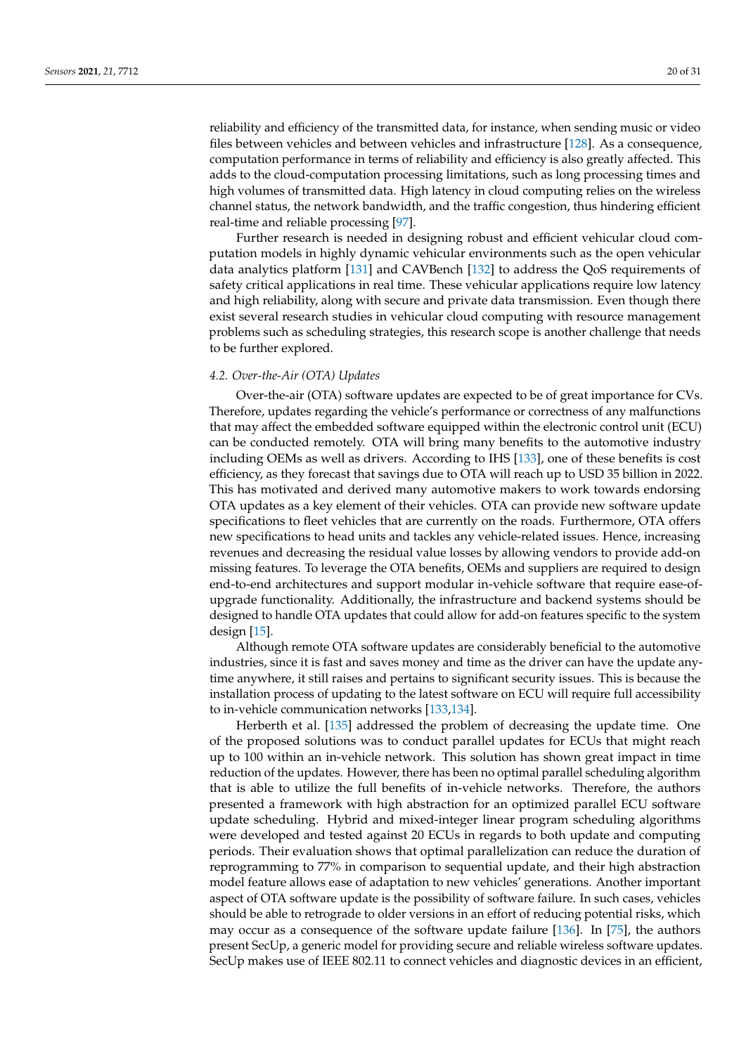reliability and efficiency of the transmitted data, for instance, when sending music or video files between vehicles and between vehicles and infrastructure [\[128\]](#page-29-3). As a consequence, computation performance in terms of reliability and efficiency is also greatly affected. This adds to the cloud-computation processing limitations, such as long processing times and high volumes of transmitted data. High latency in cloud computing relies on the wireless channel status, the network bandwidth, and the traffic congestion, thus hindering efficient real-time and reliable processing [\[97\]](#page-28-2).

Further research is needed in designing robust and efficient vehicular cloud computation models in highly dynamic vehicular environments such as the open vehicular data analytics platform [\[131\]](#page-29-6) and CAVBench [\[132\]](#page-29-7) to address the QoS requirements of safety critical applications in real time. These vehicular applications require low latency and high reliability, along with secure and private data transmission. Even though there exist several research studies in vehicular cloud computing with resource management problems such as scheduling strategies, this research scope is another challenge that needs to be further explored.

# *4.2. Over-the-Air (OTA) Updates*

Over-the-air (OTA) software updates are expected to be of great importance for CVs. Therefore, updates regarding the vehicle's performance or correctness of any malfunctions that may affect the embedded software equipped within the electronic control unit (ECU) can be conducted remotely. OTA will bring many benefits to the automotive industry including OEMs as well as drivers. According to IHS [\[133\]](#page-29-8), one of these benefits is cost efficiency, as they forecast that savings due to OTA will reach up to USD 35 billion in 2022. This has motivated and derived many automotive makers to work towards endorsing OTA updates as a key element of their vehicles. OTA can provide new software update specifications to fleet vehicles that are currently on the roads. Furthermore, OTA offers new specifications to head units and tackles any vehicle-related issues. Hence, increasing revenues and decreasing the residual value losses by allowing vendors to provide add-on missing features. To leverage the OTA benefits, OEMs and suppliers are required to design end-to-end architectures and support modular in-vehicle software that require ease-ofupgrade functionality. Additionally, the infrastructure and backend systems should be designed to handle OTA updates that could allow for add-on features specific to the system design [\[15\]](#page-25-5).

Although remote OTA software updates are considerably beneficial to the automotive industries, since it is fast and saves money and time as the driver can have the update anytime anywhere, it still raises and pertains to significant security issues. This is because the installation process of updating to the latest software on ECU will require full accessibility to in-vehicle communication networks [\[133,](#page-29-8)[134\]](#page-29-9).

Herberth et al. [\[135\]](#page-29-10) addressed the problem of decreasing the update time. One of the proposed solutions was to conduct parallel updates for ECUs that might reach up to 100 within an in-vehicle network. This solution has shown great impact in time reduction of the updates. However, there has been no optimal parallel scheduling algorithm that is able to utilize the full benefits of in-vehicle networks. Therefore, the authors presented a framework with high abstraction for an optimized parallel ECU software update scheduling. Hybrid and mixed-integer linear program scheduling algorithms were developed and tested against 20 ECUs in regards to both update and computing periods. Their evaluation shows that optimal parallelization can reduce the duration of reprogramming to 77% in comparison to sequential update, and their high abstraction model feature allows ease of adaptation to new vehicles' generations. Another important aspect of OTA software update is the possibility of software failure. In such cases, vehicles should be able to retrograde to older versions in an effort of reducing potential risks, which may occur as a consequence of the software update failure [\[136\]](#page-29-11). In [\[75\]](#page-27-6), the authors present SecUp, a generic model for providing secure and reliable wireless software updates. SecUp makes use of IEEE 802.11 to connect vehicles and diagnostic devices in an efficient,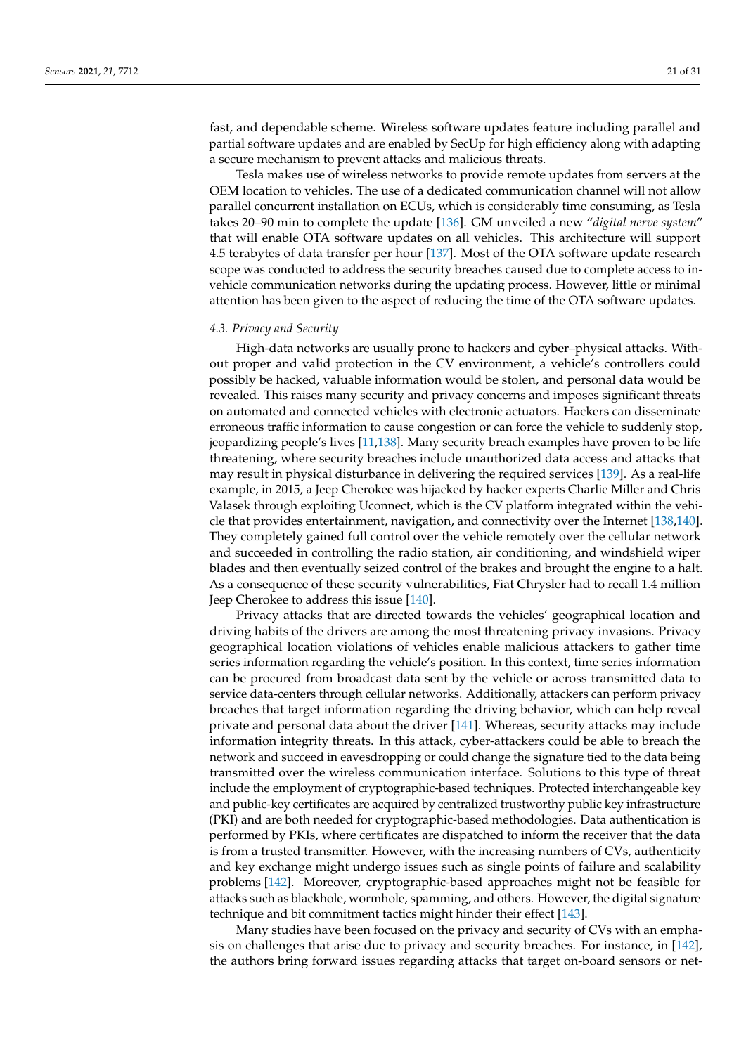fast, and dependable scheme. Wireless software updates feature including parallel and partial software updates and are enabled by SecUp for high efficiency along with adapting a secure mechanism to prevent attacks and malicious threats.

Tesla makes use of wireless networks to provide remote updates from servers at the OEM location to vehicles. The use of a dedicated communication channel will not allow parallel concurrent installation on ECUs, which is considerably time consuming, as Tesla takes 20–90 min to complete the update [\[136\]](#page-29-11). GM unveiled a new "*digital nerve system*" that will enable OTA software updates on all vehicles. This architecture will support 4.5 terabytes of data transfer per hour [\[137\]](#page-29-12). Most of the OTA software update research scope was conducted to address the security breaches caused due to complete access to invehicle communication networks during the updating process. However, little or minimal attention has been given to the aspect of reducing the time of the OTA software updates.

#### *4.3. Privacy and Security*

High-data networks are usually prone to hackers and cyber–physical attacks. Without proper and valid protection in the CV environment, a vehicle's controllers could possibly be hacked, valuable information would be stolen, and personal data would be revealed. This raises many security and privacy concerns and imposes significant threats on automated and connected vehicles with electronic actuators. Hackers can disseminate erroneous traffic information to cause congestion or can force the vehicle to suddenly stop, jeopardizing people's lives [\[11,](#page-25-1)[138\]](#page-29-13). Many security breach examples have proven to be life threatening, where security breaches include unauthorized data access and attacks that may result in physical disturbance in delivering the required services [\[139\]](#page-29-14). As a real-life example, in 2015, a Jeep Cherokee was hijacked by hacker experts Charlie Miller and Chris Valasek through exploiting Uconnect, which is the CV platform integrated within the vehicle that provides entertainment, navigation, and connectivity over the Internet [\[138,](#page-29-13)[140\]](#page-29-15). They completely gained full control over the vehicle remotely over the cellular network and succeeded in controlling the radio station, air conditioning, and windshield wiper blades and then eventually seized control of the brakes and brought the engine to a halt. As a consequence of these security vulnerabilities, Fiat Chrysler had to recall 1.4 million Jeep Cherokee to address this issue [\[140\]](#page-29-15).

Privacy attacks that are directed towards the vehicles' geographical location and driving habits of the drivers are among the most threatening privacy invasions. Privacy geographical location violations of vehicles enable malicious attackers to gather time series information regarding the vehicle's position. In this context, time series information can be procured from broadcast data sent by the vehicle or across transmitted data to service data-centers through cellular networks. Additionally, attackers can perform privacy breaches that target information regarding the driving behavior, which can help reveal private and personal data about the driver [\[141\]](#page-29-16). Whereas, security attacks may include information integrity threats. In this attack, cyber-attackers could be able to breach the network and succeed in eavesdropping or could change the signature tied to the data being transmitted over the wireless communication interface. Solutions to this type of threat include the employment of cryptographic-based techniques. Protected interchangeable key and public-key certificates are acquired by centralized trustworthy public key infrastructure (PKI) and are both needed for cryptographic-based methodologies. Data authentication is performed by PKIs, where certificates are dispatched to inform the receiver that the data is from a trusted transmitter. However, with the increasing numbers of CVs, authenticity and key exchange might undergo issues such as single points of failure and scalability problems [\[142\]](#page-29-17). Moreover, cryptographic-based approaches might not be feasible for attacks such as blackhole, wormhole, spamming, and others. However, the digital signature technique and bit commitment tactics might hinder their effect [\[143\]](#page-29-18).

Many studies have been focused on the privacy and security of CVs with an emphasis on challenges that arise due to privacy and security breaches. For instance, in [\[142\]](#page-29-17), the authors bring forward issues regarding attacks that target on-board sensors or net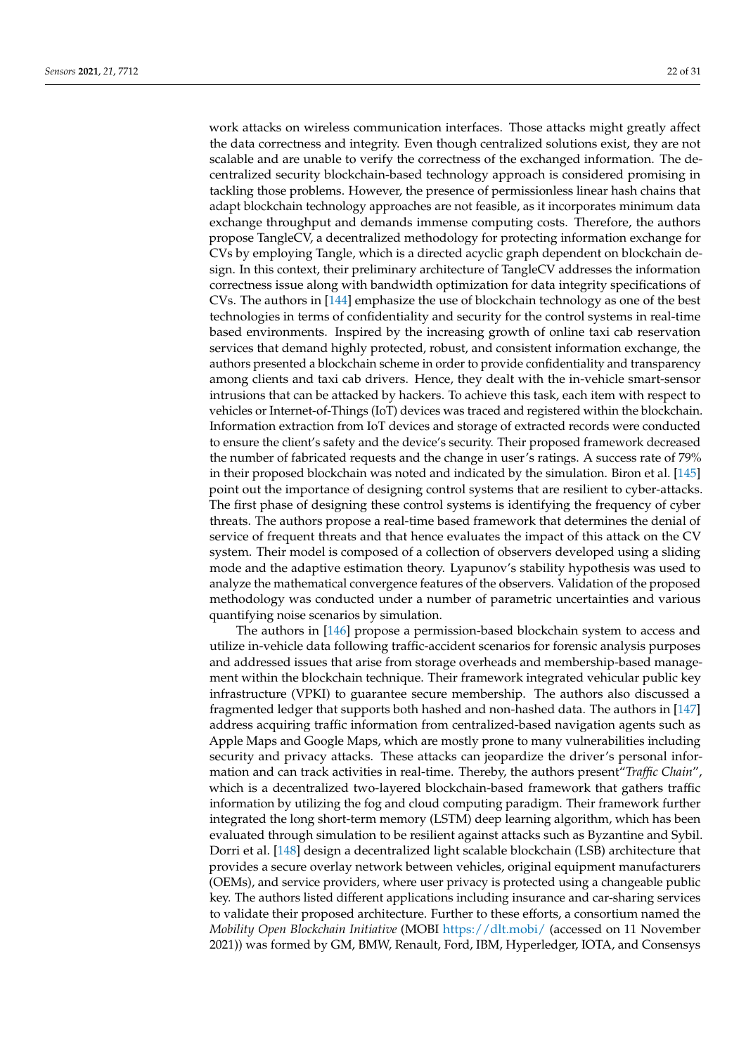work attacks on wireless communication interfaces. Those attacks might greatly affect the data correctness and integrity. Even though centralized solutions exist, they are not scalable and are unable to verify the correctness of the exchanged information. The decentralized security blockchain-based technology approach is considered promising in tackling those problems. However, the presence of permissionless linear hash chains that adapt blockchain technology approaches are not feasible, as it incorporates minimum data exchange throughput and demands immense computing costs. Therefore, the authors propose TangleCV, a decentralized methodology for protecting information exchange for CVs by employing Tangle, which is a directed acyclic graph dependent on blockchain design. In this context, their preliminary architecture of TangleCV addresses the information correctness issue along with bandwidth optimization for data integrity specifications of CVs. The authors in [\[144\]](#page-29-19) emphasize the use of blockchain technology as one of the best technologies in terms of confidentiality and security for the control systems in real-time based environments. Inspired by the increasing growth of online taxi cab reservation services that demand highly protected, robust, and consistent information exchange, the authors presented a blockchain scheme in order to provide confidentiality and transparency among clients and taxi cab drivers. Hence, they dealt with the in-vehicle smart-sensor intrusions that can be attacked by hackers. To achieve this task, each item with respect to vehicles or Internet-of-Things (IoT) devices was traced and registered within the blockchain. Information extraction from IoT devices and storage of extracted records were conducted to ensure the client's safety and the device's security. Their proposed framework decreased the number of fabricated requests and the change in user's ratings. A success rate of 79% in their proposed blockchain was noted and indicated by the simulation. Biron et al. [\[145\]](#page-29-20) point out the importance of designing control systems that are resilient to cyber-attacks. The first phase of designing these control systems is identifying the frequency of cyber threats. The authors propose a real-time based framework that determines the denial of service of frequent threats and that hence evaluates the impact of this attack on the CV system. Their model is composed of a collection of observers developed using a sliding mode and the adaptive estimation theory. Lyapunov's stability hypothesis was used to analyze the mathematical convergence features of the observers. Validation of the proposed methodology was conducted under a number of parametric uncertainties and various quantifying noise scenarios by simulation.

The authors in [\[146\]](#page-29-21) propose a permission-based blockchain system to access and utilize in-vehicle data following traffic-accident scenarios for forensic analysis purposes and addressed issues that arise from storage overheads and membership-based management within the blockchain technique. Their framework integrated vehicular public key infrastructure (VPKI) to guarantee secure membership. The authors also discussed a fragmented ledger that supports both hashed and non-hashed data. The authors in [\[147\]](#page-29-22) address acquiring traffic information from centralized-based navigation agents such as Apple Maps and Google Maps, which are mostly prone to many vulnerabilities including security and privacy attacks. These attacks can jeopardize the driver's personal information and can track activities in real-time. Thereby, the authors present"*Traffic Chain*", which is a decentralized two-layered blockchain-based framework that gathers traffic information by utilizing the fog and cloud computing paradigm. Their framework further integrated the long short-term memory (LSTM) deep learning algorithm, which has been evaluated through simulation to be resilient against attacks such as Byzantine and Sybil. Dorri et al. [\[148\]](#page-29-23) design a decentralized light scalable blockchain (LSB) architecture that provides a secure overlay network between vehicles, original equipment manufacturers (OEMs), and service providers, where user privacy is protected using a changeable public key. The authors listed different applications including insurance and car-sharing services to validate their proposed architecture. Further to these efforts, a consortium named the *Mobility Open Blockchain Initiative* (MOBI <https://dlt.mobi/> (accessed on 11 November 2021)) was formed by GM, BMW, Renault, Ford, IBM, Hyperledger, IOTA, and Consensys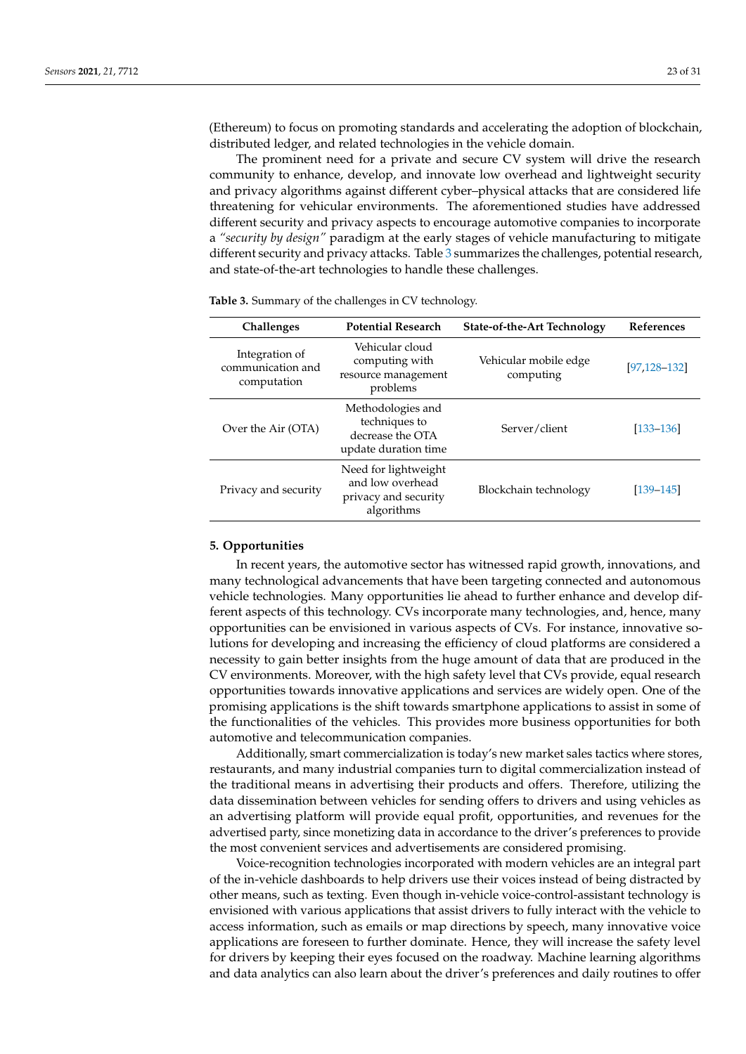(Ethereum) to focus on promoting standards and accelerating the adoption of blockchain, distributed ledger, and related technologies in the vehicle domain.

The prominent need for a private and secure CV system will drive the research community to enhance, develop, and innovate low overhead and lightweight security and privacy algorithms against different cyber–physical attacks that are considered life threatening for vehicular environments. The aforementioned studies have addressed different security and privacy aspects to encourage automotive companies to incorporate a *"security by design"* paradigm at the early stages of vehicle manufacturing to mitigate different security and privacy attacks. Table [3](#page-22-1) summarizes the challenges, potential research, and state-of-the-art technologies to handle these challenges.

| <b>Challenges</b>                                  | <b>Potential Research</b>                                                      | State-of-the-Art Technology        | <b>References</b> |
|----------------------------------------------------|--------------------------------------------------------------------------------|------------------------------------|-------------------|
| Integration of<br>communication and<br>computation | Vehicular cloud<br>computing with<br>resource management<br>problems           | Vehicular mobile edge<br>computing | $[97, 128 - 132]$ |
| Over the Air (OTA)                                 | Methodologies and<br>techniques to<br>decrease the OTA<br>update duration time | Server/client                      | $[133 - 136]$     |
| Privacy and security                               | Need for lightweight<br>and low overhead<br>privacy and security<br>algorithms | Blockchain technology              | $[139 - 145]$     |

<span id="page-22-1"></span>**Table 3.** Summary of the challenges in CV technology.

### <span id="page-22-0"></span>**5. Opportunities**

In recent years, the automotive sector has witnessed rapid growth, innovations, and many technological advancements that have been targeting connected and autonomous vehicle technologies. Many opportunities lie ahead to further enhance and develop different aspects of this technology. CVs incorporate many technologies, and, hence, many opportunities can be envisioned in various aspects of CVs. For instance, innovative solutions for developing and increasing the efficiency of cloud platforms are considered a necessity to gain better insights from the huge amount of data that are produced in the CV environments. Moreover, with the high safety level that CVs provide, equal research opportunities towards innovative applications and services are widely open. One of the promising applications is the shift towards smartphone applications to assist in some of the functionalities of the vehicles. This provides more business opportunities for both automotive and telecommunication companies.

Additionally, smart commercialization is today's new market sales tactics where stores, restaurants, and many industrial companies turn to digital commercialization instead of the traditional means in advertising their products and offers. Therefore, utilizing the data dissemination between vehicles for sending offers to drivers and using vehicles as an advertising platform will provide equal profit, opportunities, and revenues for the advertised party, since monetizing data in accordance to the driver's preferences to provide the most convenient services and advertisements are considered promising.

Voice-recognition technologies incorporated with modern vehicles are an integral part of the in-vehicle dashboards to help drivers use their voices instead of being distracted by other means, such as texting. Even though in-vehicle voice-control-assistant technology is envisioned with various applications that assist drivers to fully interact with the vehicle to access information, such as emails or map directions by speech, many innovative voice applications are foreseen to further dominate. Hence, they will increase the safety level for drivers by keeping their eyes focused on the roadway. Machine learning algorithms and data analytics can also learn about the driver's preferences and daily routines to offer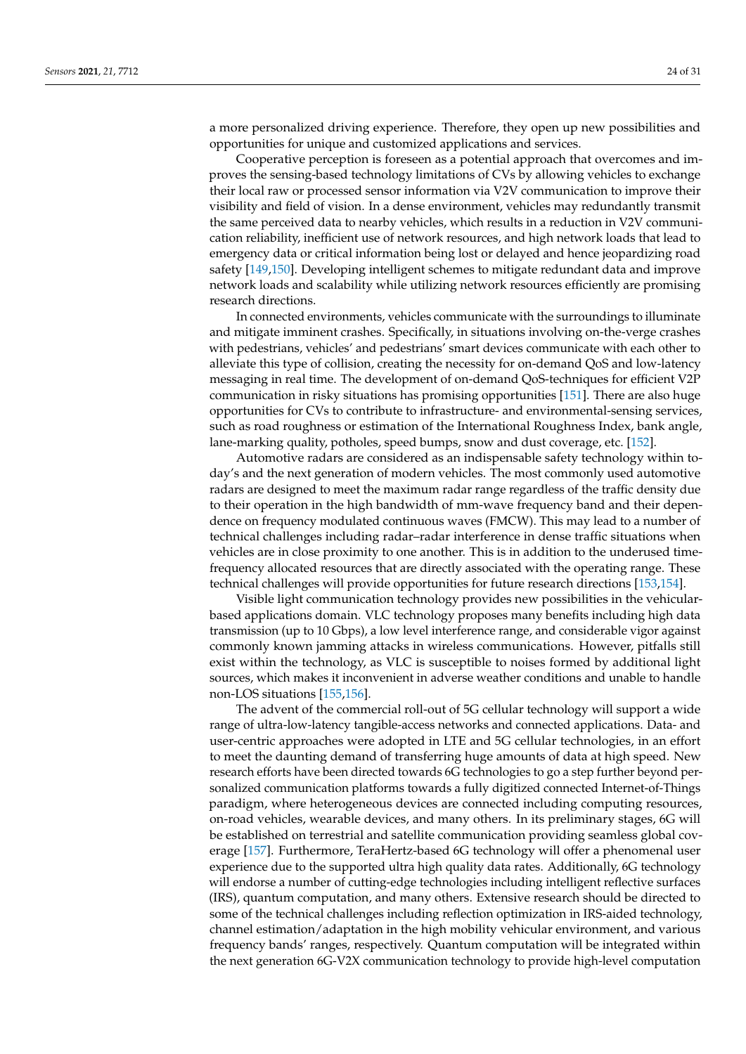a more personalized driving experience. Therefore, they open up new possibilities and opportunities for unique and customized applications and services.

Cooperative perception is foreseen as a potential approach that overcomes and improves the sensing-based technology limitations of CVs by allowing vehicles to exchange their local raw or processed sensor information via V2V communication to improve their visibility and field of vision. In a dense environment, vehicles may redundantly transmit the same perceived data to nearby vehicles, which results in a reduction in V2V communication reliability, inefficient use of network resources, and high network loads that lead to emergency data or critical information being lost or delayed and hence jeopardizing road safety [\[149,](#page-29-24)[150\]](#page-29-25). Developing intelligent schemes to mitigate redundant data and improve network loads and scalability while utilizing network resources efficiently are promising research directions.

In connected environments, vehicles communicate with the surroundings to illuminate and mitigate imminent crashes. Specifically, in situations involving on-the-verge crashes with pedestrians, vehicles' and pedestrians' smart devices communicate with each other to alleviate this type of collision, creating the necessity for on-demand QoS and low-latency messaging in real time. The development of on-demand QoS-techniques for efficient V2P communication in risky situations has promising opportunities [\[151\]](#page-29-26). There are also huge opportunities for CVs to contribute to infrastructure- and environmental-sensing services, such as road roughness or estimation of the International Roughness Index, bank angle, lane-marking quality, potholes, speed bumps, snow and dust coverage, etc. [\[152\]](#page-30-0).

Automotive radars are considered as an indispensable safety technology within today's and the next generation of modern vehicles. The most commonly used automotive radars are designed to meet the maximum radar range regardless of the traffic density due to their operation in the high bandwidth of mm-wave frequency band and their dependence on frequency modulated continuous waves (FMCW). This may lead to a number of technical challenges including radar–radar interference in dense traffic situations when vehicles are in close proximity to one another. This is in addition to the underused timefrequency allocated resources that are directly associated with the operating range. These technical challenges will provide opportunities for future research directions [\[153,](#page-30-1)[154\]](#page-30-2).

Visible light communication technology provides new possibilities in the vehicularbased applications domain. VLC technology proposes many benefits including high data transmission (up to 10 Gbps), a low level interference range, and considerable vigor against commonly known jamming attacks in wireless communications. However, pitfalls still exist within the technology, as VLC is susceptible to noises formed by additional light sources, which makes it inconvenient in adverse weather conditions and unable to handle non-LOS situations [\[155](#page-30-3)[,156\]](#page-30-4).

The advent of the commercial roll-out of 5G cellular technology will support a wide range of ultra-low-latency tangible-access networks and connected applications. Data- and user-centric approaches were adopted in LTE and 5G cellular technologies, in an effort to meet the daunting demand of transferring huge amounts of data at high speed. New research efforts have been directed towards 6G technologies to go a step further beyond personalized communication platforms towards a fully digitized connected Internet-of-Things paradigm, where heterogeneous devices are connected including computing resources, on-road vehicles, wearable devices, and many others. In its preliminary stages, 6G will be established on terrestrial and satellite communication providing seamless global coverage [\[157\]](#page-30-5). Furthermore, TeraHertz-based 6G technology will offer a phenomenal user experience due to the supported ultra high quality data rates. Additionally, 6G technology will endorse a number of cutting-edge technologies including intelligent reflective surfaces (IRS), quantum computation, and many others. Extensive research should be directed to some of the technical challenges including reflection optimization in IRS-aided technology, channel estimation/adaptation in the high mobility vehicular environment, and various frequency bands' ranges, respectively. Quantum computation will be integrated within the next generation 6G-V2X communication technology to provide high-level computation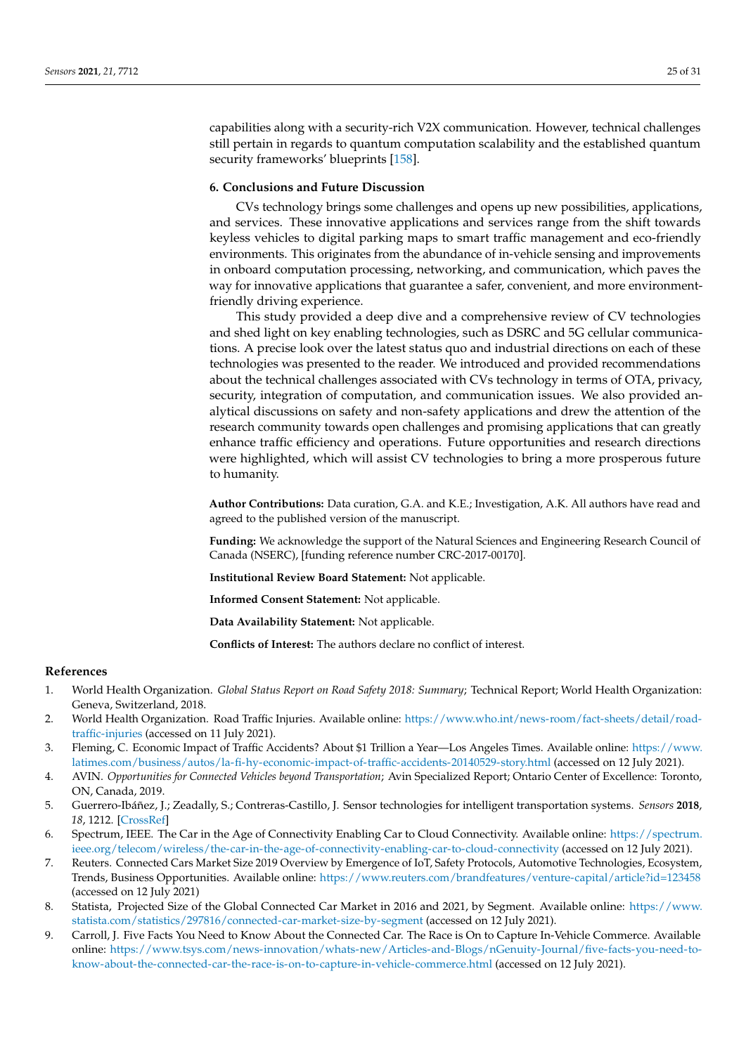capabilities along with a security-rich V2X communication. However, technical challenges still pertain in regards to quantum computation scalability and the established quantum security frameworks' blueprints [\[158\]](#page-30-6).

## <span id="page-24-9"></span>**6. Conclusions and Future Discussion**

CVs technology brings some challenges and opens up new possibilities, applications, and services. These innovative applications and services range from the shift towards keyless vehicles to digital parking maps to smart traffic management and eco-friendly environments. This originates from the abundance of in-vehicle sensing and improvements in onboard computation processing, networking, and communication, which paves the way for innovative applications that guarantee a safer, convenient, and more environmentfriendly driving experience.

This study provided a deep dive and a comprehensive review of CV technologies and shed light on key enabling technologies, such as DSRC and 5G cellular communications. A precise look over the latest status quo and industrial directions on each of these technologies was presented to the reader. We introduced and provided recommendations about the technical challenges associated with CVs technology in terms of OTA, privacy, security, integration of computation, and communication issues. We also provided analytical discussions on safety and non-safety applications and drew the attention of the research community towards open challenges and promising applications that can greatly enhance traffic efficiency and operations. Future opportunities and research directions were highlighted, which will assist CV technologies to bring a more prosperous future to humanity.

**Author Contributions:** Data curation, G.A. and K.E.; Investigation, A.K. All authors have read and agreed to the published version of the manuscript.

**Funding:** We acknowledge the support of the Natural Sciences and Engineering Research Council of Canada (NSERC), [funding reference number CRC-2017-00170].

**Institutional Review Board Statement:** Not applicable.

**Informed Consent Statement:** Not applicable.

**Data Availability Statement:** Not applicable.

**Conflicts of Interest:** The authors declare no conflict of interest.

# **References**

- <span id="page-24-0"></span>1. World Health Organization. *Global Status Report on Road Safety 2018: Summary*; Technical Report; World Health Organization: Geneva, Switzerland, 2018.
- <span id="page-24-1"></span>2. World Health Organization. Road Traffic Injuries. Available online: [https://www.who.int/news-room/fact-sheets/detail/road](https://www.who.int/news-room/fact-sheets/detail/road-traffic-injuries)[traffic-injuries](https://www.who.int/news-room/fact-sheets/detail/road-traffic-injuries) (accessed on 11 July 2021).
- <span id="page-24-2"></span>3. Fleming, C. Economic Impact of Traffic Accidents? About \$1 Trillion a Year—Los Angeles Times. Available online: [https://www.](https://www.latimes.com/business/autos/la-fi-hy-economic-impact-of-traffic-accidents-20140529-story.html) [latimes.com/business/autos/la-fi-hy-economic-impact-of-traffic-accidents-20140529-story.html](https://www.latimes.com/business/autos/la-fi-hy-economic-impact-of-traffic-accidents-20140529-story.html) (accessed on 12 July 2021).
- <span id="page-24-3"></span>4. AVIN. *Opportunities for Connected Vehicles beyond Transportation*; Avin Specialized Report; Ontario Center of Excellence: Toronto, ON, Canada, 2019.
- <span id="page-24-4"></span>5. Guerrero-Ibáñez, J.; Zeadally, S.; Contreras-Castillo, J. Sensor technologies for intelligent transportation systems. *Sensors* **2018**, *18*, 1212. [\[CrossRef\]](http://doi.org/10.3390/s18041212)
- <span id="page-24-5"></span>6. Spectrum, IEEE. The Car in the Age of Connectivity Enabling Car to Cloud Connectivity. Available online: [https://spectrum.]( https://spectrum.ieee.org/telecom/wireless/the-car-in-the-age-of-connectivity-enabling-car-to-cloud-connectivity) [ieee.org/telecom/wireless/the-car-in-the-age-of-connectivity-enabling-car-to-cloud-connectivity]( https://spectrum.ieee.org/telecom/wireless/the-car-in-the-age-of-connectivity-enabling-car-to-cloud-connectivity) (accessed on 12 July 2021).
- <span id="page-24-6"></span>7. Reuters. Connected Cars Market Size 2019 Overview by Emergence of IoT, Safety Protocols, Automotive Technologies, Ecosystem, Trends, Business Opportunities. Available online: <https://www.reuters.com/brandfeatures/venture-capital/article?id=123458> (accessed on 12 July 2021)
- <span id="page-24-7"></span>8. Statista, Projected Size of the Global Connected Car Market in 2016 and 2021, by Segment. Available online: [https://www.](https://www.statista.com/statistics/297816/connected-car-market-size-by-segment) [statista.com/statistics/297816/connected-car-market-size-by-segment](https://www.statista.com/statistics/297816/connected-car-market-size-by-segment) (accessed on 12 July 2021).
- <span id="page-24-8"></span>9. Carroll, J. Five Facts You Need to Know About the Connected Car. The Race is On to Capture In-Vehicle Commerce. Available online: [https://www.tsys.com/news-innovation/whats-new/Articles-and-Blogs/nGenuity-Journal/five-facts-you-need-to](https://www.tsys.com/news-innovation/whats-new/Articles-and-Blogs/nGenuity-Journal/five-facts-you-need-to-know-about-the-connected-car-the-race-is-on-to-capture-in-vehicle-commerce.html)[know-about-the-connected-car-the-race-is-on-to-capture-in-vehicle-commerce.html](https://www.tsys.com/news-innovation/whats-new/Articles-and-Blogs/nGenuity-Journal/five-facts-you-need-to-know-about-the-connected-car-the-race-is-on-to-capture-in-vehicle-commerce.html) (accessed on 12 July 2021).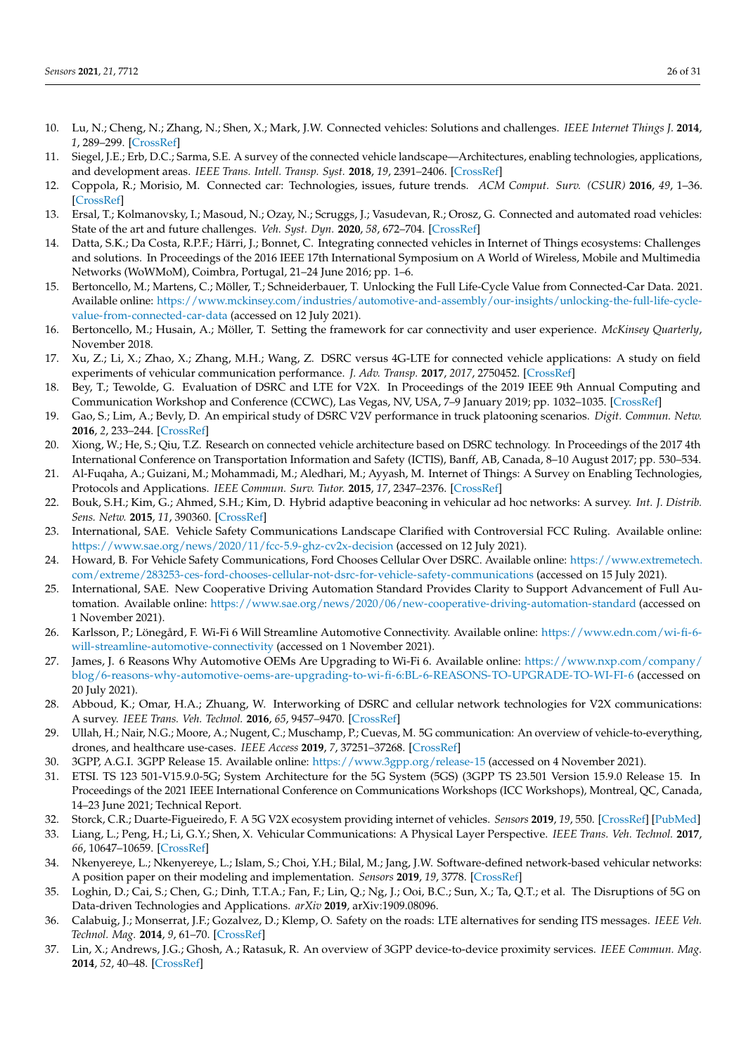- <span id="page-25-0"></span>10. Lu, N.; Cheng, N.; Zhang, N.; Shen, X.; Mark, J.W. Connected vehicles: Solutions and challenges. *IEEE Internet Things J.* **2014**, *1*, 289–299. [\[CrossRef\]](http://dx.doi.org/10.1109/JIOT.2014.2327587)
- <span id="page-25-1"></span>11. Siegel, J.E.; Erb, D.C.; Sarma, S.E. A survey of the connected vehicle landscape—Architectures, enabling technologies, applications, and development areas. *IEEE Trans. Intell. Transp. Syst.* **2018**, *19*, 2391–2406. [\[CrossRef\]](http://dx.doi.org/10.1109/TITS.2017.2749459)
- <span id="page-25-2"></span>12. Coppola, R.; Morisio, M. Connected car: Technologies, issues, future trends. *ACM Comput. Surv. (CSUR)* **2016**, *49*, 1–36. [\[CrossRef\]](http://dx.doi.org/10.1145/2971482)
- <span id="page-25-3"></span>13. Ersal, T.; Kolmanovsky, I.; Masoud, N.; Ozay, N.; Scruggs, J.; Vasudevan, R.; Orosz, G. Connected and automated road vehicles: State of the art and future challenges. *Veh. Syst. Dyn.* **2020**, *58*, 672–704. [\[CrossRef\]](http://dx.doi.org/10.1080/00423114.2020.1741652)
- <span id="page-25-4"></span>14. Datta, S.K.; Da Costa, R.P.F.; Härri, J.; Bonnet, C. Integrating connected vehicles in Internet of Things ecosystems: Challenges and solutions. In Proceedings of the 2016 IEEE 17th International Symposium on A World of Wireless, Mobile and Multimedia Networks (WoWMoM), Coimbra, Portugal, 21–24 June 2016; pp. 1–6.
- <span id="page-25-5"></span>15. Bertoncello, M.; Martens, C.; Möller, T.; Schneiderbauer, T. Unlocking the Full Life-Cycle Value from Connected-Car Data. 2021. Available online: [https://www.mckinsey.com/industries/automotive-and-assembly/our-insights/unlocking-the-full-life-cycle](https://www.mckinsey.com/industries/automotive-and-assembly/our-insights/unlocking-the-full-life-cycle-value-from-connected-car-data)[value-from-connected-car-data](https://www.mckinsey.com/industries/automotive-and-assembly/our-insights/unlocking-the-full-life-cycle-value-from-connected-car-data) (accessed on 12 July 2021).
- <span id="page-25-6"></span>16. Bertoncello, M.; Husain, A.; Möller, T. Setting the framework for car connectivity and user experience. *McKinsey Quarterly*, November 2018.
- <span id="page-25-7"></span>17. Xu, Z.; Li, X.; Zhao, X.; Zhang, M.H.; Wang, Z. DSRC versus 4G-LTE for connected vehicle applications: A study on field experiments of vehicular communication performance. *J. Adv. Transp.* **2017**, *2017*, 2750452. [\[CrossRef\]](http://dx.doi.org/10.1155/2017/2750452)
- <span id="page-25-8"></span>18. Bey, T.; Tewolde, G. Evaluation of DSRC and LTE for V2X. In Proceedings of the 2019 IEEE 9th Annual Computing and Communication Workshop and Conference (CCWC), Las Vegas, NV, USA, 7–9 January 2019; pp. 1032–1035. [\[CrossRef\]](http://dx.doi.org/10.1109/CCWC.2019.8666563)
- <span id="page-25-9"></span>19. Gao, S.; Lim, A.; Bevly, D. An empirical study of DSRC V2V performance in truck platooning scenarios. *Digit. Commun. Netw.* **2016**, *2*, 233–244. [\[CrossRef\]](http://dx.doi.org/10.1016/j.dcan.2016.10.003)
- <span id="page-25-10"></span>20. Xiong, W.; He, S.; Qiu, T.Z. Research on connected vehicle architecture based on DSRC technology. In Proceedings of the 2017 4th International Conference on Transportation Information and Safety (ICTIS), Banff, AB, Canada, 8–10 August 2017; pp. 530–534.
- <span id="page-25-11"></span>21. Al-Fuqaha, A.; Guizani, M.; Mohammadi, M.; Aledhari, M.; Ayyash, M. Internet of Things: A Survey on Enabling Technologies, Protocols and Applications. *IEEE Commun. Surv. Tutor.* **2015**, *17*, 2347–2376. [\[CrossRef\]](http://dx.doi.org/10.1109/COMST.2015.2444095)
- <span id="page-25-12"></span>22. Bouk, S.H.; Kim, G.; Ahmed, S.H.; Kim, D. Hybrid adaptive beaconing in vehicular ad hoc networks: A survey. *Int. J. Distrib. Sens. Netw.* **2015**, *11*, 390360. [\[CrossRef\]](http://dx.doi.org/10.1155/2015/390360)
- <span id="page-25-13"></span>23. International, SAE. Vehicle Safety Communications Landscape Clarified with Controversial FCC Ruling. Available online: <https://www.sae.org/news/2020/11/fcc-5.9-ghz-cv2x-decision> (accessed on 12 July 2021).
- <span id="page-25-14"></span>24. Howard, B. For Vehicle Safety Communications, Ford Chooses Cellular Over DSRC. Available online: [https://www.extremetech.](https://www.extremetech.com/extreme/283253-ces-ford-chooses-cellular-not-dsrc-for-vehicle-safety-communications) [com/extreme/283253-ces-ford-chooses-cellular-not-dsrc-for-vehicle-safety-communications](https://www.extremetech.com/extreme/283253-ces-ford-chooses-cellular-not-dsrc-for-vehicle-safety-communications) (accessed on 15 July 2021).
- <span id="page-25-15"></span>25. International, SAE. New Cooperative Driving Automation Standard Provides Clarity to Support Advancement of Full Automation. Available online: <https://www.sae.org/news/2020/06/new-cooperative-driving-automation-standard> (accessed on 1 November 2021).
- <span id="page-25-16"></span>26. Karlsson, P.; Lönegård, F. Wi-Fi 6 Will Streamline Automotive Connectivity. Available online: [https://www.edn.com/wi-fi-6](https://www.edn.com/wi-fi-6-will-streamline-automotive-connectivity) [will-streamline-automotive-connectivity](https://www.edn.com/wi-fi-6-will-streamline-automotive-connectivity) (accessed on 1 November 2021).
- <span id="page-25-17"></span>27. James, J. 6 Reasons Why Automotive OEMs Are Upgrading to Wi-Fi 6. Available online: [https://www.nxp.com/company/](https://www.nxp.com/company/blog/6-reasons-why-automotive-oems-are-upgrading-to-wi-fi-6:BL-6-REASONS-TO-UPGRADE-TO-WI-FI-6 ) [blog/6-reasons-why-automotive-oems-are-upgrading-to-wi-fi-6:BL-6-REASONS-TO-UPGRADE-TO-WI-FI-6](https://www.nxp.com/company/blog/6-reasons-why-automotive-oems-are-upgrading-to-wi-fi-6:BL-6-REASONS-TO-UPGRADE-TO-WI-FI-6 ) (accessed on 20 July 2021).
- <span id="page-25-18"></span>28. Abboud, K.; Omar, H.A.; Zhuang, W. Interworking of DSRC and cellular network technologies for V2X communications: A survey. *IEEE Trans. Veh. Technol.* **2016**, *65*, 9457–9470. [\[CrossRef\]](http://dx.doi.org/10.1109/TVT.2016.2591558)
- <span id="page-25-19"></span>29. Ullah, H.; Nair, N.G.; Moore, A.; Nugent, C.; Muschamp, P.; Cuevas, M. 5G communication: An overview of vehicle-to-everything, drones, and healthcare use-cases. *IEEE Access* **2019**, *7*, 37251–37268. [\[CrossRef\]](http://dx.doi.org/10.1109/ACCESS.2019.2905347)
- <span id="page-25-20"></span>30. 3GPP, A.G.I. 3GPP Release 15. Available online: [https://www.3gpp.org/release-15]( https://www.3gpp.org/release-15 ) (accessed on 4 November 2021).
- <span id="page-25-21"></span>31. ETSI. TS 123 501-V15.9.0-5G; System Architecture for the 5G System (5GS) (3GPP TS 23.501 Version 15.9.0 Release 15. In Proceedings of the 2021 IEEE International Conference on Communications Workshops (ICC Workshops), Montreal, QC, Canada, 14–23 June 2021; Technical Report.
- <span id="page-25-22"></span>32. Storck, C.R.; Duarte-Figueiredo, F. A 5G V2X ecosystem providing internet of vehicles. *Sensors* **2019**, *19*, 550. [\[CrossRef\]](http://dx.doi.org/10.3390/s19030550) [\[PubMed\]](http://www.ncbi.nlm.nih.gov/pubmed/30699926)
- <span id="page-25-23"></span>33. Liang, L.; Peng, H.; Li, G.Y.; Shen, X. Vehicular Communications: A Physical Layer Perspective. *IEEE Trans. Veh. Technol.* **2017**, *66*, 10647–10659. [\[CrossRef\]](http://dx.doi.org/10.1109/TVT.2017.2750903)
- <span id="page-25-24"></span>34. Nkenyereye, L.; Nkenyereye, L.; Islam, S.; Choi, Y.H.; Bilal, M.; Jang, J.W. Software-defined network-based vehicular networks: A position paper on their modeling and implementation. *Sensors* **2019**, *19*, 3778. [\[CrossRef\]](http://dx.doi.org/10.3390/s19173788)
- <span id="page-25-25"></span>35. Loghin, D.; Cai, S.; Chen, G.; Dinh, T.T.A.; Fan, F.; Lin, Q.; Ng, J.; Ooi, B.C.; Sun, X.; Ta, Q.T.; et al. The Disruptions of 5G on Data-driven Technologies and Applications. *arXiv* **2019**, arXiv:1909.08096.
- <span id="page-25-26"></span>36. Calabuig, J.; Monserrat, J.F.; Gozalvez, D.; Klemp, O. Safety on the roads: LTE alternatives for sending ITS messages. *IEEE Veh. Technol. Mag.* **2014**, *9*, 61–70. [\[CrossRef\]](http://dx.doi.org/10.1109/MVT.2014.2362272)
- <span id="page-25-27"></span>37. Lin, X.; Andrews, J.G.; Ghosh, A.; Ratasuk, R. An overview of 3GPP device-to-device proximity services. *IEEE Commun. Mag.* **2014**, *52*, 40–48. [\[CrossRef\]](http://dx.doi.org/10.1109/MCOM.2014.6807945)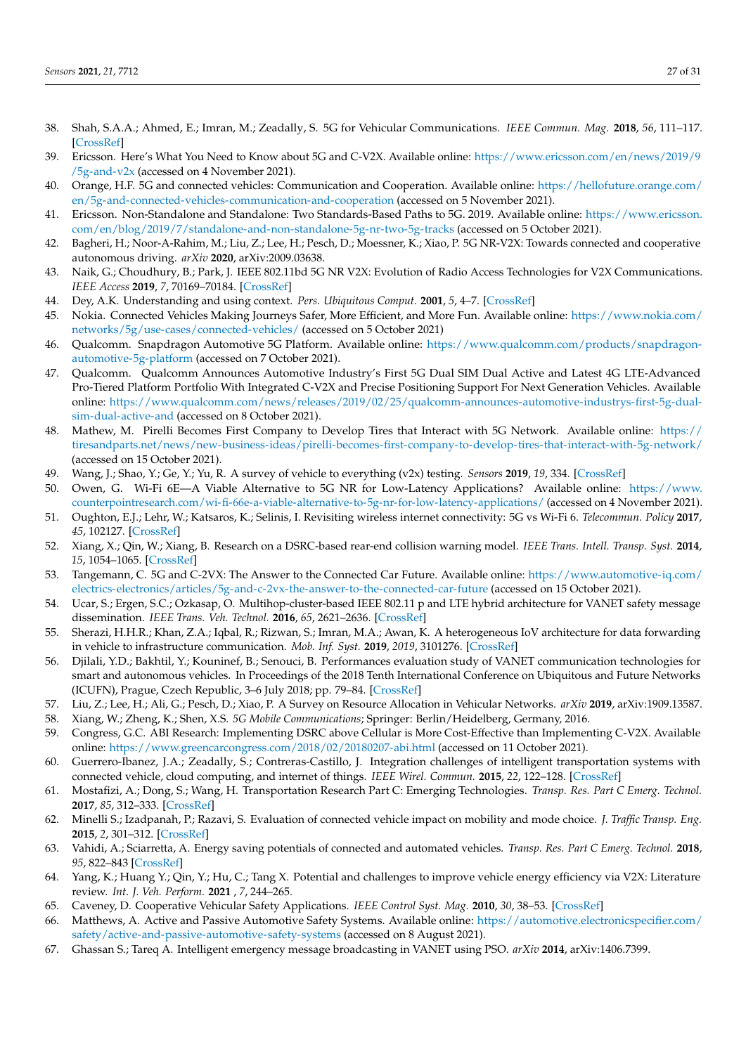- <span id="page-26-0"></span>38. Shah, S.A.A.; Ahmed, E.; Imran, M.; Zeadally, S. 5G for Vehicular Communications. *IEEE Commun. Mag.* **2018**, *56*, 111–117. [\[CrossRef\]](http://dx.doi.org/10.1109/MCOM.2018.1700467)
- <span id="page-26-1"></span>39. Ericsson. Here's What You Need to Know about 5G and C-V2X. Available online: [https://www.ericsson.com/en/news/2019/9](https://www.ericsson.com/en/news/2019/9/5g-and-v2x) [/5g-and-v2x](https://www.ericsson.com/en/news/2019/9/5g-and-v2x) (accessed on 4 November 2021).
- <span id="page-26-2"></span>40. Orange, H.F. 5G and connected vehicles: Communication and Cooperation. Available online: [https://hellofuture.orange.com/](https://hellofuture.orange.com/en/5g-and-connected-vehicles-communication-and-cooperation) [en/5g-and-connected-vehicles-communication-and-cooperation](https://hellofuture.orange.com/en/5g-and-connected-vehicles-communication-and-cooperation) (accessed on 5 November 2021).
- <span id="page-26-3"></span>41. Ericsson. Non-Standalone and Standalone: Two Standards-Based Paths to 5G. 2019. Available online: [https://www.ericsson.](https://www.ericsson.com/en/blog/2019/7/standalone-and-non-standalone-5g-nr-two-5g-tracks) [com/en/blog/2019/7/standalone-and-non-standalone-5g-nr-two-5g-tracks](https://www.ericsson.com/en/blog/2019/7/standalone-and-non-standalone-5g-nr-two-5g-tracks) (accessed on 5 October 2021).
- <span id="page-26-4"></span>42. Bagheri, H.; Noor-A-Rahim, M.; Liu, Z.; Lee, H.; Pesch, D.; Moessner, K.; Xiao, P. 5G NR-V2X: Towards connected and cooperative autonomous driving. *arXiv* **2020**, arXiv:2009.03638.
- <span id="page-26-5"></span>43. Naik, G.; Choudhury, B.; Park, J. IEEE 802.11bd 5G NR V2X: Evolution of Radio Access Technologies for V2X Communications. *IEEE Access* **2019**, *7*, 70169–70184. [\[CrossRef\]](http://dx.doi.org/10.1109/ACCESS.2019.2919489)
- <span id="page-26-6"></span>44. Dey, A.K. Understanding and using context. *Pers. Ubiquitous Comput.* **2001**, *5*, 4–7. [\[CrossRef\]](http://dx.doi.org/10.1007/s007790170019)
- <span id="page-26-7"></span>45. Nokia. Connected Vehicles Making Journeys Safer, More Efficient, and More Fun. Available online: [https://www.nokia.com/](https://www.nokia.com/networks/5g/use-cases/connected-vehicles/) [networks/5g/use-cases/connected-vehicles/](https://www.nokia.com/networks/5g/use-cases/connected-vehicles/) (accessed on 5 October 2021)
- <span id="page-26-8"></span>46. Qualcomm. Snapdragon Automotive 5G Platform. Available online: [https://www.qualcomm.com/products/snapdragon](https://www.qualcomm.com/products/snapdragon-automotive-5g-platform)[automotive-5g-platform](https://www.qualcomm.com/products/snapdragon-automotive-5g-platform) (accessed on 7 October 2021).
- <span id="page-26-9"></span>47. Qualcomm. Qualcomm Announces Automotive Industry's First 5G Dual SIM Dual Active and Latest 4G LTE-Advanced Pro-Tiered Platform Portfolio With Integrated C-V2X and Precise Positioning Support For Next Generation Vehicles. Available online: [https://www.qualcomm.com/news/releases/2019/02/25/qualcomm-announces-automotive-industrys-first-5g-dual](https://www.qualcomm.com/news/releases/2019/02/25/qualcomm-announces-automotive-industrys-first-5g-dual-sim-dual-active-and)[sim-dual-active-and](https://www.qualcomm.com/news/releases/2019/02/25/qualcomm-announces-automotive-industrys-first-5g-dual-sim-dual-active-and) (accessed on 8 October 2021).
- <span id="page-26-10"></span>48. Mathew, M. Pirelli Becomes First Company to Develop Tires that Interact with 5G Network. Available online: [https://](https://tiresandparts.net/news/new-business-ideas/pirelli-becomes-first-company-to-develop-tires-that-interact-with-5g-network/) [tiresandparts.net/news/new-business-ideas/pirelli-becomes-first-company-to-develop-tires-that-interact-with-5g-network/](https://tiresandparts.net/news/new-business-ideas/pirelli-becomes-first-company-to-develop-tires-that-interact-with-5g-network/) (accessed on 15 October 2021).
- <span id="page-26-11"></span>49. Wang, J.; Shao, Y.; Ge, Y.; Yu, R. A survey of vehicle to everything (v2x) testing. *Sensors* **2019**, *19*, 334. [\[CrossRef\]](http://dx.doi.org/10.3390/s19020334)
- <span id="page-26-12"></span>50. Owen, G. Wi-Fi 6E—A Viable Alternative to 5G NR for Low-Latency Applications? Available online: [https://www.](https://www.counterpointresearch.com/wi-fi-66e-a-viable-alternative-to-5g-nr-for-low-latency-applications/) [counterpointresearch.com/wi-fi-66e-a-viable-alternative-to-5g-nr-for-low-latency-applications/](https://www.counterpointresearch.com/wi-fi-66e-a-viable-alternative-to-5g-nr-for-low-latency-applications/) (accessed on 4 November 2021).
- <span id="page-26-13"></span>51. Oughton, E.J.; Lehr, W.; Katsaros, K.; Selinis, I. Revisiting wireless internet connectivity: 5G vs Wi-Fi 6. *Telecommun. Policy* **2017**, *45*, 102127. [\[CrossRef\]](http://dx.doi.org/10.1016/j.telpol.2021.102127)
- <span id="page-26-14"></span>52. Xiang, X.; Qin, W.; Xiang, B. Research on a DSRC-based rear-end collision warning model. *IEEE Trans. Intell. Transp. Syst.* **2014**, *15*, 1054–1065. [\[CrossRef\]](http://dx.doi.org/10.1109/TITS.2013.2293771)
- <span id="page-26-15"></span>53. Tangemann, C. 5G and C-2VX: The Answer to the Connected Car Future. Available online: [https://www.automotive-iq.com/](https://www.automotive-iq.com/electrics-electronics/articles/5g-and-c-2vx-the-answer-to-the-connected-car-future) [electrics-electronics/articles/5g-and-c-2vx-the-answer-to-the-connected-car-future](https://www.automotive-iq.com/electrics-electronics/articles/5g-and-c-2vx-the-answer-to-the-connected-car-future) (accessed on 15 October 2021).
- <span id="page-26-16"></span>54. Ucar, S.; Ergen, S.C.; Ozkasap, O. Multihop-cluster-based IEEE 802.11 p and LTE hybrid architecture for VANET safety message dissemination. *IEEE Trans. Veh. Technol.* **2016**, *65*, 2621–2636. [\[CrossRef\]](http://dx.doi.org/10.1109/TVT.2015.2421277)
- 55. Sherazi, H.H.R.; Khan, Z.A.; Iqbal, R.; Rizwan, S.; Imran, M.A.; Awan, K. A heterogeneous IoV architecture for data forwarding in vehicle to infrastructure communication. *Mob. Inf. Syst.* **2019**, *2019*, 3101276. [\[CrossRef\]](http://dx.doi.org/10.1155/2019/3101276)
- <span id="page-26-17"></span>56. Djilali, Y.D.; Bakhtil, Y.; Kouninef, B.; Senouci, B. Performances evaluation study of VANET communication technologies for smart and autonomous vehicles. In Proceedings of the 2018 Tenth International Conference on Ubiquitous and Future Networks (ICUFN), Prague, Czech Republic, 3–6 July 2018; pp. 79–84. [\[CrossRef\]](http://dx.doi.org/10.1109/ICUFN.2018.8436661)
- <span id="page-26-18"></span>57. Liu, Z.; Lee, H.; Ali, G.; Pesch, D.; Xiao, P. A Survey on Resource Allocation in Vehicular Networks. *arXiv* **2019**, arXiv:1909.13587.
- <span id="page-26-19"></span>58. Xiang, W.; Zheng, K.; Shen, X.S. *5G Mobile Communications*; Springer: Berlin/Heidelberg, Germany, 2016.
- <span id="page-26-20"></span>59. Congress, G.C. ABI Research: Implementing DSRC above Cellular is More Cost-Effective than Implementing C-V2X. Available online: <https://www.greencarcongress.com/2018/02/20180207-abi.html> (accessed on 11 October 2021).
- <span id="page-26-21"></span>60. Guerrero-Ibanez, J.A.; Zeadally, S.; Contreras-Castillo, J. Integration challenges of intelligent transportation systems with connected vehicle, cloud computing, and internet of things. *IEEE Wirel. Commun.* **2015**, *22*, 122–128. [\[CrossRef\]](http://dx.doi.org/10.1109/MWC.2015.7368833)
- <span id="page-26-22"></span>61. Mostafizi, A.; Dong, S.; Wang, H. Transportation Research Part C: Emerging Technologies. *Transp. Res. Part C Emerg. Technol.* **2017**, *85*, 312–333. [\[CrossRef\]](http://dx.doi.org/10.1016/j.trc.2017.09.013)
- <span id="page-26-23"></span>62. Minelli S.; Izadpanah, P.; Razavi, S. Evaluation of connected vehicle impact on mobility and mode choice. *J. Traffic Transp. Eng.* **2015**, *2*, 301–312. [\[CrossRef\]](http://dx.doi.org/10.1016/j.jtte.2015.08.002)
- <span id="page-26-24"></span>63. Vahidi, A.; Sciarretta, A. Energy saving potentials of connected and automated vehicles. *Transp. Res. Part C Emerg. Technol.* **2018**, *95*, 822–843 [\[CrossRef\]](http://dx.doi.org/10.1016/j.trc.2018.09.001)
- <span id="page-26-25"></span>64. Yang, K.; Huang Y.; Qin, Y.; Hu, C.; Tang X. Potential and challenges to improve vehicle energy efficiency via V2X: Literature review. *Int. J. Veh. Perform.* **2021** , *7*, 244–265.
- <span id="page-26-26"></span>65. Caveney, D. Cooperative Vehicular Safety Applications. *IEEE Control Syst. Mag.* **2010**, *30*, 38–53. [\[CrossRef\]](http://dx.doi.org/10.1109/MCS.2010.937003)
- <span id="page-26-27"></span>66. Matthews, A. Active and Passive Automotive Safety Systems. Available online: [https://automotive.electronicspecifier.com/](https://automotive.electronicspecifier.com/safety/active-and-passive-automotive-safety-systems) [safety/active-and-passive-automotive-safety-systems](https://automotive.electronicspecifier.com/safety/active-and-passive-automotive-safety-systems) (accessed on 8 August 2021).
- <span id="page-26-28"></span>67. Ghassan S.; Tareq A. Intelligent emergency message broadcasting in VANET using PSO. *arXiv* **2014**, arXiv:1406.7399.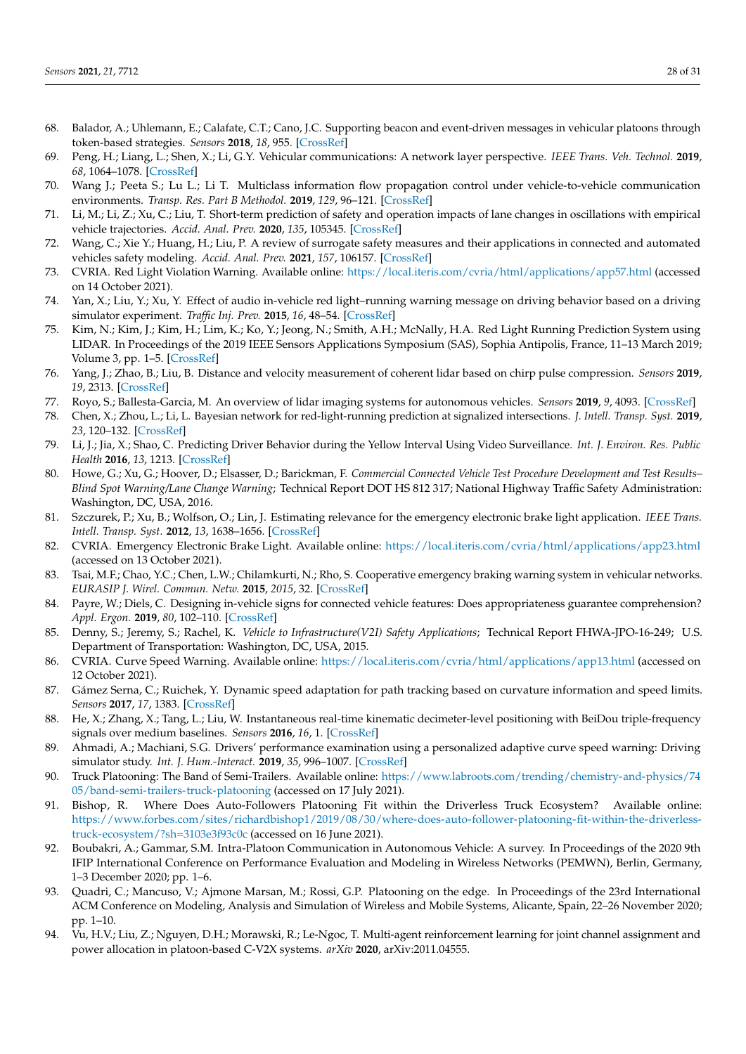- <span id="page-27-0"></span>68. Balador, A.; Uhlemann, E.; Calafate, C.T.; Cano, J.C. Supporting beacon and event-driven messages in vehicular platoons through token-based strategies. *Sensors* **2018**, *18*, 955. [\[CrossRef\]](http://dx.doi.org/10.3390/s18040955)
- <span id="page-27-1"></span>69. Peng, H.; Liang, L.; Shen, X.; Li, G.Y. Vehicular communications: A network layer perspective. *IEEE Trans. Veh. Technol.* **2019**, *68*, 1064–1078. [\[CrossRef\]](http://dx.doi.org/10.1109/TVT.2018.2833427)
- <span id="page-27-2"></span>70. Wang J.; Peeta S.; Lu L.; Li T. Multiclass information flow propagation control under vehicle-to-vehicle communication environments. *Transp. Res. Part B Methodol.* **2019**, *129*, 96–121. [\[CrossRef\]](http://dx.doi.org/10.1016/j.trb.2019.09.005)
- 71. Li, M.; Li, Z.; Xu, C.; Liu, T. Short-term prediction of safety and operation impacts of lane changes in oscillations with empirical vehicle trajectories. *Accid. Anal. Prev.* **2020**, *135*, 105345. [\[CrossRef\]](http://dx.doi.org/10.1016/j.aap.2019.105345)
- <span id="page-27-3"></span>72. Wang, C.; Xie Y.; Huang, H.; Liu, P. A review of surrogate safety measures and their applications in connected and automated vehicles safety modeling. *Accid. Anal. Prev.* **2021**, *157*, 106157. [\[CrossRef\]](http://dx.doi.org/10.1016/j.aap.2021.106157)
- <span id="page-27-4"></span>73. CVRIA. Red Light Violation Warning. Available online: <https://local.iteris.com/cvria/html/applications/app57.html> (accessed on 14 October 2021).
- <span id="page-27-5"></span>74. Yan, X.; Liu, Y.; Xu, Y. Effect of audio in-vehicle red light–running warning message on driving behavior based on a driving simulator experiment. *Traffic Inj. Prev.* **2015**, *16*, 48–54. [\[CrossRef\]](http://dx.doi.org/10.1080/15389588.2014.906038)
- <span id="page-27-6"></span>75. Kim, N.; Kim, J.; Kim, H.; Lim, K.; Ko, Y.; Jeong, N.; Smith, A.H.; McNally, H.A. Red Light Running Prediction System using LIDAR. In Proceedings of the 2019 IEEE Sensors Applications Symposium (SAS), Sophia Antipolis, France, 11–13 March 2019; Volume 3, pp. 1–5. [\[CrossRef\]](http://dx.doi.org/10.1109/SAS.2019.8706098)
- <span id="page-27-7"></span>76. Yang, J.; Zhao, B.; Liu, B. Distance and velocity measurement of coherent lidar based on chirp pulse compression. *Sensors* **2019**, *19*, 2313. [\[CrossRef\]](http://dx.doi.org/10.3390/s19102313)
- <span id="page-27-8"></span>77. Royo, S.; Ballesta-Garcia, M. An overview of lidar imaging systems for autonomous vehicles. *Sensors* **2019**, *9*, 4093. [\[CrossRef\]](http://dx.doi.org/10.3390/app9194093)
- <span id="page-27-9"></span>78. Chen, X.; Zhou, L.; Li, L. Bayesian network for red-light-running prediction at signalized intersections. *J. Intell. Transp. Syst.* **2019**, *23*, 120–132. [\[CrossRef\]](http://dx.doi.org/10.1080/15472450.2018.1486192)
- <span id="page-27-10"></span>79. Li, J.; Jia, X.; Shao, C. Predicting Driver Behavior during the Yellow Interval Using Video Surveillance. *Int. J. Environ. Res. Public Health* **2016**, *13*, 1213. [\[CrossRef\]](http://dx.doi.org/10.3390/ijerph13121213)
- <span id="page-27-11"></span>80. Howe, G.; Xu, G.; Hoover, D.; Elsasser, D.; Barickman, F. *Commercial Connected Vehicle Test Procedure Development and Test Results– Blind Spot Warning/Lane Change Warning*; Technical Report DOT HS 812 317; National Highway Traffic Safety Administration: Washington, DC, USA, 2016.
- <span id="page-27-12"></span>81. Szczurek, P.; Xu, B.; Wolfson, O.; Lin, J. Estimating relevance for the emergency electronic brake light application. *IEEE Trans. Intell. Transp. Syst.* **2012**, *13*, 1638–1656. [\[CrossRef\]](http://dx.doi.org/10.1109/TITS.2012.2201257)
- <span id="page-27-13"></span>82. CVRIA. Emergency Electronic Brake Light. Available online: <https://local.iteris.com/cvria/html/applications/app23.html> (accessed on 13 October 2021).
- <span id="page-27-14"></span>83. Tsai, M.F.; Chao, Y.C.; Chen, L.W.; Chilamkurti, N.; Rho, S. Cooperative emergency braking warning system in vehicular networks. *EURASIP J. Wirel. Commun. Netw.* **2015**, *2015*, 32. [\[CrossRef\]](http://dx.doi.org/10.1186/s13638-015-0262-0)
- <span id="page-27-15"></span>84. Payre, W.; Diels, C. Designing in-vehicle signs for connected vehicle features: Does appropriateness guarantee comprehension? *Appl. Ergon.* **2019**, *80*, 102–110. [\[CrossRef\]](http://dx.doi.org/10.1016/j.apergo.2019.05.006)
- <span id="page-27-16"></span>85. Denny, S.; Jeremy, S.; Rachel, K. *Vehicle to Infrastructure(V2I) Safety Applications*; Technical Report FHWA-JPO-16-249; U.S. Department of Transportation: Washington, DC, USA, 2015.
- <span id="page-27-17"></span>86. CVRIA. Curve Speed Warning. Available online: <https://local.iteris.com/cvria/html/applications/app13.html> (accessed on 12 October 2021).
- <span id="page-27-18"></span>87. Gámez Serna, C.; Ruichek, Y. Dynamic speed adaptation for path tracking based on curvature information and speed limits. *Sensors* **2017**, *17*, 1383. [\[CrossRef\]](http://dx.doi.org/10.3390/s17061383)
- <span id="page-27-19"></span>88. He, X.; Zhang, X.; Tang, L.; Liu, W. Instantaneous real-time kinematic decimeter-level positioning with BeiDou triple-frequency signals over medium baselines. *Sensors* **2016**, *16*, 1. [\[CrossRef\]](http://dx.doi.org/10.3390/s16010001)
- <span id="page-27-20"></span>89. Ahmadi, A.; Machiani, S.G. Drivers' performance examination using a personalized adaptive curve speed warning: Driving simulator study. *Int. J. Hum.-Interact.* **2019**, *35*, 996–1007. [\[CrossRef\]](http://dx.doi.org/10.1080/10447318.2018.1561785)
- <span id="page-27-21"></span>90. Truck Platooning: The Band of Semi-Trailers. Available online: [https://www.labroots.com/trending/chemistry-and-physics/74](https://www.labroots.com/trending/chemistry-and-physics/7405/band-semi-trailers-truck-platooning) [05/band-semi-trailers-truck-platooning](https://www.labroots.com/trending/chemistry-and-physics/7405/band-semi-trailers-truck-platooning) (accessed on 17 July 2021).
- <span id="page-27-22"></span>91. Bishop, R. Where Does Auto-Followers Platooning Fit within the Driverless Truck Ecosystem? Available online: [https://www.forbes.com/sites/richardbishop1/2019/08/30/where-does-auto-follower-platooning-fit-within-the-driverless](https://www.forbes.com/sites/richardbishop1/2019/08/30/where-does-auto-follower-platooning-fit-within-the-driverless-truck-ecosystem/?sh=3103e3f93c0c)[truck-ecosystem/?sh=3103e3f93c0c](https://www.forbes.com/sites/richardbishop1/2019/08/30/where-does-auto-follower-platooning-fit-within-the-driverless-truck-ecosystem/?sh=3103e3f93c0c) (accessed on 16 June 2021).
- <span id="page-27-23"></span>92. Boubakri, A.; Gammar, S.M. Intra-Platoon Communication in Autonomous Vehicle: A survey. In Proceedings of the 2020 9th IFIP International Conference on Performance Evaluation and Modeling in Wireless Networks (PEMWN), Berlin, Germany, 1–3 December 2020; pp. 1–6.
- <span id="page-27-24"></span>93. Quadri, C.; Mancuso, V.; Ajmone Marsan, M.; Rossi, G.P. Platooning on the edge. In Proceedings of the 23rd International ACM Conference on Modeling, Analysis and Simulation of Wireless and Mobile Systems, Alicante, Spain, 22–26 November 2020; pp. 1–10.
- <span id="page-27-25"></span>94. Vu, H.V.; Liu, Z.; Nguyen, D.H.; Morawski, R.; Le-Ngoc, T. Multi-agent reinforcement learning for joint channel assignment and power allocation in platoon-based C-V2X systems. *arXiv* **2020**, arXiv:2011.04555.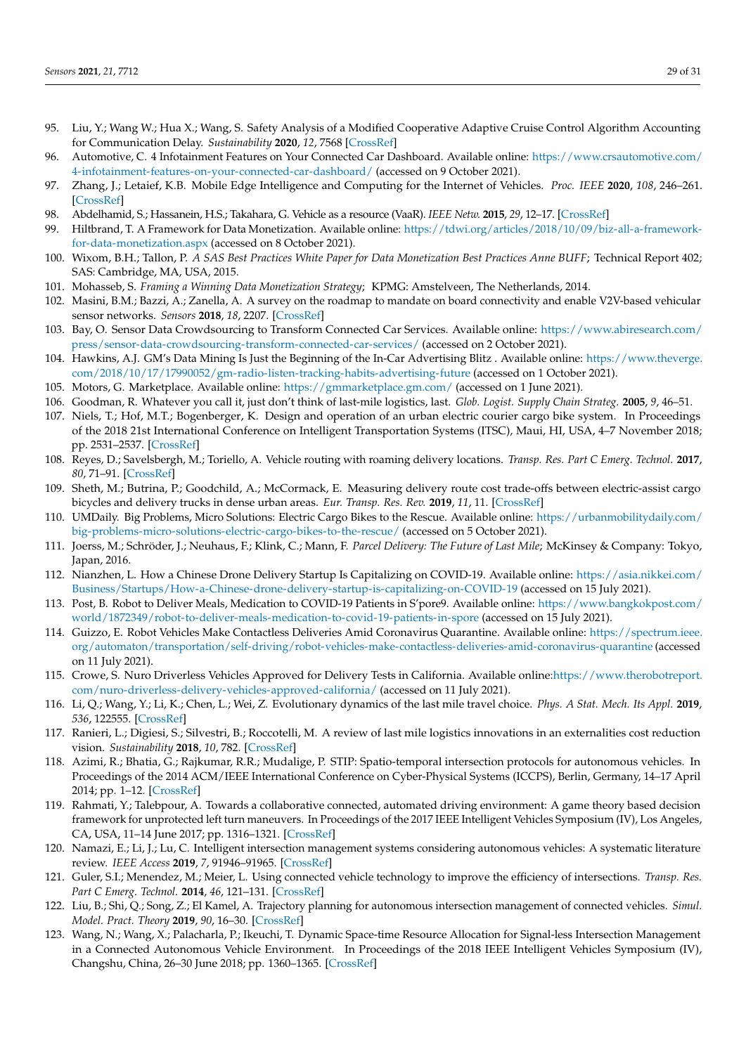- <span id="page-28-0"></span>95. Liu, Y.; Wang W.; Hua X.; Wang, S. Safety Analysis of a Modified Cooperative Adaptive Cruise Control Algorithm Accounting for Communication Delay. *Sustainability* **2020**, *12*, 7568 [\[CrossRef\]](http://dx.doi.org/10.3390/su12187568)
- <span id="page-28-1"></span>96. Automotive, C. 4 Infotainment Features on Your Connected Car Dashboard. Available online: [https://www.crsautomotive.com/](https://www.crsautomotive.com/4-infotainment-features-on-your-connected-car-dashboard/) [4-infotainment-features-on-your-connected-car-dashboard/](https://www.crsautomotive.com/4-infotainment-features-on-your-connected-car-dashboard/) (accessed on 9 October 2021).
- <span id="page-28-2"></span>97. Zhang, J.; Letaief, K.B. Mobile Edge Intelligence and Computing for the Internet of Vehicles. *Proc. IEEE* **2020**, *108*, 246–261. [\[CrossRef\]](http://dx.doi.org/10.1109/JPROC.2019.2947490)
- <span id="page-28-3"></span>98. Abdelhamid, S.; Hassanein, H.S.; Takahara, G. Vehicle as a resource (VaaR). *IEEE Netw.* **2015**, *29*, 12–17. [\[CrossRef\]](http://dx.doi.org/10.1109/MNET.2015.7018198)
- <span id="page-28-4"></span>99. Hiltbrand, T. A Framework for Data Monetization. Available online: [https://tdwi.org/articles/2018/10/09/biz-all-a-framework](https://tdwi.org/articles/2018/10/09/biz-all-a-framework-for-data-monetization.aspx)[for-data-monetization.aspx](https://tdwi.org/articles/2018/10/09/biz-all-a-framework-for-data-monetization.aspx) (accessed on 8 October 2021).
- <span id="page-28-5"></span>100. Wixom, B.H.; Tallon, P. *A SAS Best Practices White Paper for Data Monetization Best Practices Anne BUFF*; Technical Report 402; SAS: Cambridge, MA, USA, 2015.
- <span id="page-28-6"></span>101. Mohasseb, S. *Framing a Winning Data Monetization Strategy*; KPMG: Amstelveen, The Netherlands, 2014.
- <span id="page-28-7"></span>102. Masini, B.M.; Bazzi, A.; Zanella, A. A survey on the roadmap to mandate on board connectivity and enable V2V-based vehicular sensor networks. *Sensors* **2018**, *18*, 2207. [\[CrossRef\]](http://dx.doi.org/10.3390/s18072207)
- <span id="page-28-8"></span>103. Bay, O. Sensor Data Crowdsourcing to Transform Connected Car Services. Available online: [https://www.abiresearch.com/](https://www.abiresearch.com/press/sensor-data-crowdsourcing-transform-connected-car-services/) [press/sensor-data-crowdsourcing-transform-connected-car-services/](https://www.abiresearch.com/press/sensor-data-crowdsourcing-transform-connected-car-services/) (accessed on 2 October 2021).
- <span id="page-28-9"></span>104. Hawkins, A.J. GM's Data Mining Is Just the Beginning of the In-Car Advertising Blitz . Available online: [https://www.theverge.](https://www.theverge.com/2018/10/17/17990052/gm-radio-listen-tracking-habits-advertising-future) [com/2018/10/17/17990052/gm-radio-listen-tracking-habits-advertising-future](https://www.theverge.com/2018/10/17/17990052/gm-radio-listen-tracking-habits-advertising-future) (accessed on 1 October 2021).
- <span id="page-28-10"></span>105. Motors, G. Marketplace. Available online: <https://gmmarketplace.gm.com/> (accessed on 1 June 2021).
- <span id="page-28-11"></span>106. Goodman, R. Whatever you call it, just don't think of last-mile logistics, last. *Glob. Logist. Supply Chain Strateg.* **2005**, *9*, 46–51.
- <span id="page-28-12"></span>107. Niels, T.; Hof, M.T.; Bogenberger, K. Design and operation of an urban electric courier cargo bike system. In Proceedings of the 2018 21st International Conference on Intelligent Transportation Systems (ITSC), Maui, HI, USA, 4–7 November 2018; pp. 2531–2537. [\[CrossRef\]](http://dx.doi.org/10.1109/ITSC.2018.8569606)
- <span id="page-28-13"></span>108. Reyes, D.; Savelsbergh, M.; Toriello, A. Vehicle routing with roaming delivery locations. *Transp. Res. Part C Emerg. Technol.* **2017**, *80*, 71–91. [\[CrossRef\]](http://dx.doi.org/10.1016/j.trc.2017.04.003)
- <span id="page-28-14"></span>109. Sheth, M.; Butrina, P.; Goodchild, A.; McCormack, E. Measuring delivery route cost trade-offs between electric-assist cargo bicycles and delivery trucks in dense urban areas. *Eur. Transp. Res. Rev.* **2019**, *11*, 11. [\[CrossRef\]](http://dx.doi.org/10.1186/s12544-019-0349-5)
- <span id="page-28-15"></span>110. UMDaily. Big Problems, Micro Solutions: Electric Cargo Bikes to the Rescue. Available online: [https://urbanmobilitydaily.com/](https://urbanmobilitydaily.com/big-problems-micro-solutions-electric-cargo-bikes-to-the-rescue/) [big-problems-micro-solutions-electric-cargo-bikes-to-the-rescue/](https://urbanmobilitydaily.com/big-problems-micro-solutions-electric-cargo-bikes-to-the-rescue/) (accessed on 5 October 2021).
- <span id="page-28-16"></span>111. Joerss, M.; Schröder, J.; Neuhaus, F.; Klink, C.; Mann, F. *Parcel Delivery: The Future of Last Mile*; McKinsey & Company: Tokyo, Japan, 2016.
- <span id="page-28-17"></span>112. Nianzhen, L. How a Chinese Drone Delivery Startup Is Capitalizing on COVID-19. Available online: [https://asia.nikkei.com/](https://asia.nikkei.com/Business/Startups/How-a-Chinese-drone-delivery-startup-is-capitalizing-on-COVID-19) [Business/Startups/How-a-Chinese-drone-delivery-startup-is-capitalizing-on-COVID-19](https://asia.nikkei.com/Business/Startups/How-a-Chinese-drone-delivery-startup-is-capitalizing-on-COVID-19) (accessed on 15 July 2021).
- <span id="page-28-18"></span>113. Post, B. Robot to Deliver Meals, Medication to COVID-19 Patients in S'pore9. Available online: [https://www.bangkokpost.com/](https://www.bangkokpost.com/world/1872349/robot-to-deliver-meals-medication-to-covid-19-patients-in-spore) [world/1872349/robot-to-deliver-meals-medication-to-covid-19-patients-in-spore](https://www.bangkokpost.com/world/1872349/robot-to-deliver-meals-medication-to-covid-19-patients-in-spore) (accessed on 15 July 2021).
- <span id="page-28-19"></span>114. Guizzo, E. Robot Vehicles Make Contactless Deliveries Amid Coronavirus Quarantine. Available online: [https://spectrum.ieee.](https://spectrum.ieee.org/automaton/transportation/self-driving/robot-vehicles-make-contactless-deliveries-amid-coronavirus-quarantine) [org/automaton/transportation/self-driving/robot-vehicles-make-contactless-deliveries-amid-coronavirus-quarantine](https://spectrum.ieee.org/automaton/transportation/self-driving/robot-vehicles-make-contactless-deliveries-amid-coronavirus-quarantine) (accessed on 11 July 2021).
- <span id="page-28-20"></span>115. Crowe, S. Nuro Driverless Vehicles Approved for Delivery Tests in California. Available online[:https://www.therobotreport.](https://www.therobotreport.com/nuro-driverless-delivery-vehicles-approved-california/) [com/nuro-driverless-delivery-vehicles-approved-california/](https://www.therobotreport.com/nuro-driverless-delivery-vehicles-approved-california/) (accessed on 11 July 2021).
- <span id="page-28-21"></span>116. Li, Q.; Wang, Y.; Li, K.; Chen, L.; Wei, Z. Evolutionary dynamics of the last mile travel choice. *Phys. A Stat. Mech. Its Appl.* **2019**, *536*, 122555. [\[CrossRef\]](http://dx.doi.org/10.1016/j.physa.2019.122555)
- <span id="page-28-22"></span>117. Ranieri, L.; Digiesi, S.; Silvestri, B.; Roccotelli, M. A review of last mile logistics innovations in an externalities cost reduction vision. *Sustainability* **2018**, *10*, 782. [\[CrossRef\]](http://dx.doi.org/10.3390/su10030782)
- <span id="page-28-23"></span>118. Azimi, R.; Bhatia, G.; Rajkumar, R.R.; Mudalige, P. STIP: Spatio-temporal intersection protocols for autonomous vehicles. In Proceedings of the 2014 ACM/IEEE International Conference on Cyber-Physical Systems (ICCPS), Berlin, Germany, 14–17 April 2014; pp. 1–12. [\[CrossRef\]](http://dx.doi.org/10.1109/ICCPS.2014.6843706)
- <span id="page-28-24"></span>119. Rahmati, Y.; Talebpour, A. Towards a collaborative connected, automated driving environment: A game theory based decision framework for unprotected left turn maneuvers. In Proceedings of the 2017 IEEE Intelligent Vehicles Symposium (IV), Los Angeles, CA, USA, 11–14 June 2017; pp. 1316–1321. [\[CrossRef\]](http://dx.doi.org/10.1109/IVS.2017.7995894)
- <span id="page-28-25"></span>120. Namazi, E.; Li, J.; Lu, C. Intelligent intersection management systems considering autonomous vehicles: A systematic literature review. *IEEE Access* **2019**, *7*, 91946–91965. [\[CrossRef\]](http://dx.doi.org/10.1109/ACCESS.2019.2927412)
- <span id="page-28-26"></span>121. Guler, S.I.; Menendez, M.; Meier, L. Using connected vehicle technology to improve the efficiency of intersections. *Transp. Res. Part C Emerg. Technol.* **2014**, *46*, 121–131. [\[CrossRef\]](http://dx.doi.org/10.1016/j.trc.2014.05.008)
- <span id="page-28-27"></span>122. Liu, B.; Shi, Q.; Song, Z.; El Kamel, A. Trajectory planning for autonomous intersection management of connected vehicles. *Simul. Model. Pract. Theory* **2019**, *90*, 16–30. [\[CrossRef\]](http://dx.doi.org/10.1016/j.simpat.2018.10.002)
- 123. Wang, N.; Wang, X.; Palacharla, P.; Ikeuchi, T. Dynamic Space-time Resource Allocation for Signal-less Intersection Management in a Connected Autonomous Vehicle Environment. In Proceedings of the 2018 IEEE Intelligent Vehicles Symposium (IV), Changshu, China, 26–30 June 2018; pp. 1360–1365. [\[CrossRef\]](http://dx.doi.org/10.1109/IVS.2018.8500458)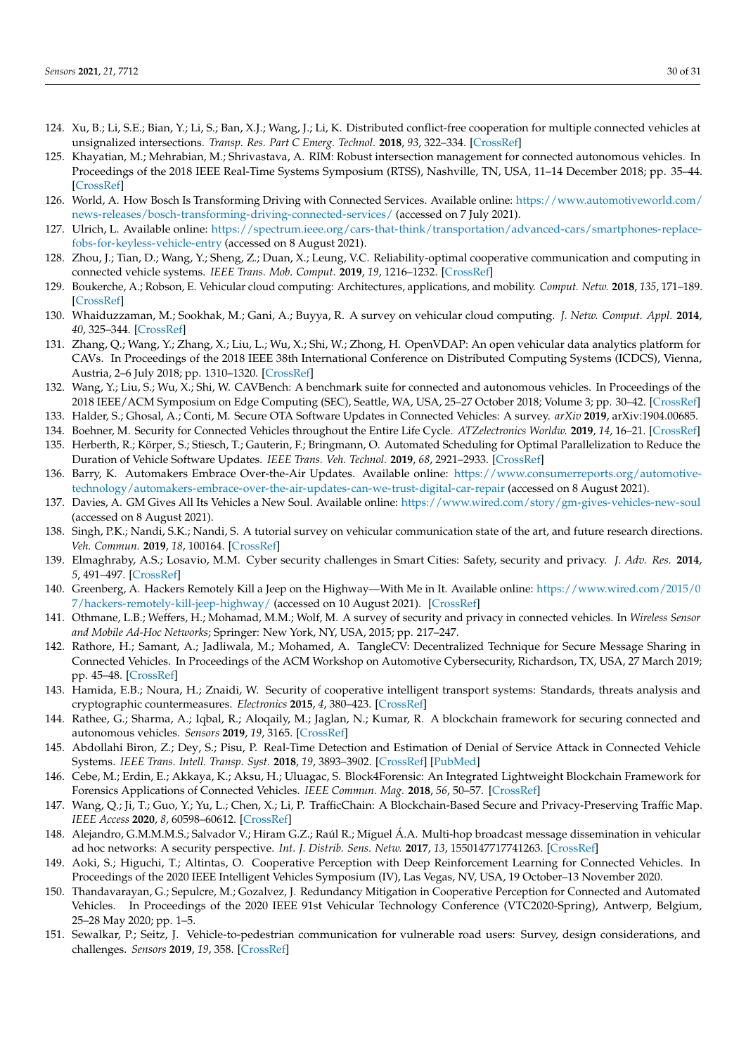- 124. Xu, B.; Li, S.E.; Bian, Y.; Li, S.; Ban, X.J.; Wang, J.; Li, K. Distributed conflict-free cooperation for multiple connected vehicles at unsignalized intersections. *Transp. Res. Part C Emerg. Technol.* **2018**, *93*, 322–334. [\[CrossRef\]](http://dx.doi.org/10.1016/j.trc.2018.06.004)
- <span id="page-29-0"></span>125. Khayatian, M.; Mehrabian, M.; Shrivastava, A. RIM: Robust intersection management for connected autonomous vehicles. In Proceedings of the 2018 IEEE Real-Time Systems Symposium (RTSS), Nashville, TN, USA, 11–14 December 2018; pp. 35–44. [\[CrossRef\]](http://dx.doi.org/10.1109/RTSS.2018.00014)
- <span id="page-29-1"></span>126. World, A. How Bosch Is Transforming Driving with Connected Services. Available online: [https://www.automotiveworld.com/](https://www.automotiveworld.com/news-releases/bosch-transforming-driving-connected-services/) [news-releases/bosch-transforming-driving-connected-services/](https://www.automotiveworld.com/news-releases/bosch-transforming-driving-connected-services/) (accessed on 7 July 2021).
- <span id="page-29-2"></span>127. Ulrich, L. Available online: [https://spectrum.ieee.org/cars-that-think/transportation/advanced-cars/smartphones-replace](https://spectrum.ieee.org/cars-that-think/transportation/advanced-cars/smartphones-replace-fobs-for-keyless-vehicle-entry)[fobs-for-keyless-vehicle-entry](https://spectrum.ieee.org/cars-that-think/transportation/advanced-cars/smartphones-replace-fobs-for-keyless-vehicle-entry) (accessed on 8 August 2021).
- <span id="page-29-3"></span>128. Zhou, J.; Tian, D.; Wang, Y.; Sheng, Z.; Duan, X.; Leung, V.C. Reliability-optimal cooperative communication and computing in connected vehicle systems. *IEEE Trans. Mob. Comput.* **2019**, *19*, 1216–1232. [\[CrossRef\]](http://dx.doi.org/10.1109/TMC.2019.2907491)
- <span id="page-29-4"></span>129. Boukerche, A.; Robson, E. Vehicular cloud computing: Architectures, applications, and mobility. *Comput. Netw.* **2018**, *135*, 171–189. [\[CrossRef\]](http://dx.doi.org/10.1016/j.comnet.2018.01.004)
- <span id="page-29-5"></span>130. Whaiduzzaman, M.; Sookhak, M.; Gani, A.; Buyya, R. A survey on vehicular cloud computing. *J. Netw. Comput. Appl.* **2014**, *40*, 325–344. [\[CrossRef\]](http://dx.doi.org/10.1016/j.jnca.2013.08.004)
- <span id="page-29-6"></span>131. Zhang, Q.; Wang, Y.; Zhang, X.; Liu, L.; Wu, X.; Shi, W.; Zhong, H. OpenVDAP: An open vehicular data analytics platform for CAVs. In Proceedings of the 2018 IEEE 38th International Conference on Distributed Computing Systems (ICDCS), Vienna, Austria, 2–6 July 2018; pp. 1310–1320. [\[CrossRef\]](http://dx.doi.org/10.1109/ICDCS.2018.00131)
- <span id="page-29-7"></span>132. Wang, Y.; Liu, S.; Wu, X.; Shi, W. CAVBench: A benchmark suite for connected and autonomous vehicles. In Proceedings of the 2018 IEEE/ACM Symposium on Edge Computing (SEC), Seattle, WA, USA, 25–27 October 2018; Volume 3; pp. 30–42. [\[CrossRef\]](http://dx.doi.org/10.1109/SEC.2018.00010)
- <span id="page-29-8"></span>133. Halder, S.; Ghosal, A.; Conti, M. Secure OTA Software Updates in Connected Vehicles: A survey. *arXiv* **2019**, arXiv:1904.00685.
- <span id="page-29-9"></span>134. Boehner, M. Security for Connected Vehicles throughout the Entire Life Cycle. *ATZelectronics Worldw.* **2019**, *14*, 16–21. [\[CrossRef\]](http://dx.doi.org/10.1007/s38314-018-0091-0)
- <span id="page-29-10"></span>135. Herberth, R.; Körper, S.; Stiesch, T.; Gauterin, F.; Bringmann, O. Automated Scheduling for Optimal Parallelization to Reduce the Duration of Vehicle Software Updates. *IEEE Trans. Veh. Technol.* **2019**, *68*, 2921–2933. [\[CrossRef\]](http://dx.doi.org/10.1109/TVT.2019.2895109)
- <span id="page-29-11"></span>136. Barry, K. Automakers Embrace Over-the-Air Updates. Available online: [https://www.consumerreports.org/automotive](https://www.consumerreports.org/automotive-technology/automakers-embrace-over-the-air-updates-can-we-trust-digital-car-repair)[technology/automakers-embrace-over-the-air-updates-can-we-trust-digital-car-repair](https://www.consumerreports.org/automotive-technology/automakers-embrace-over-the-air-updates-can-we-trust-digital-car-repair) (accessed on 8 August 2021).
- <span id="page-29-12"></span>137. Davies, A. GM Gives All Its Vehicles a New Soul. Available online: <https://www.wired.com/story/gm-gives-vehicles-new-soul> (accessed on 8 August 2021).
- <span id="page-29-13"></span>138. Singh, P.K.; Nandi, S.K.; Nandi, S. A tutorial survey on vehicular communication state of the art, and future research directions. *Veh. Commun.* **2019**, *18*, 100164. [\[CrossRef\]](http://dx.doi.org/10.1016/j.vehcom.2019.100164)
- <span id="page-29-14"></span>139. Elmaghraby, A.S.; Losavio, M.M. Cyber security challenges in Smart Cities: Safety, security and privacy. *J. Adv. Res.* **2014**, *5*, 491–497. [\[CrossRef\]](http://dx.doi.org/10.1016/j.jare.2014.02.006)
- <span id="page-29-15"></span>140. Greenberg, A. Hackers Remotely Kill a Jeep on the Highway—With Me in It. Available online: [https://www.wired.com/2015/0](https://www.wired.com/2015/07/hackers-remotely-kill-jeep-highway/) [7/hackers-remotely-kill-jeep-highway/](https://www.wired.com/2015/07/hackers-remotely-kill-jeep-highway/) (accessed on 10 August 2021). [\[CrossRef\]](http://dx.doi.org/10.1016/j.jare.2014.02.006)
- <span id="page-29-16"></span>141. Othmane, L.B.; Weffers, H.; Mohamad, M.M.; Wolf, M. A survey of security and privacy in connected vehicles. In *Wireless Sensor and Mobile Ad-Hoc Networks*; Springer: New York, NY, USA, 2015; pp. 217–247.
- <span id="page-29-17"></span>142. Rathore, H.; Samant, A.; Jadliwala, M.; Mohamed, A. TangleCV: Decentralized Technique for Secure Message Sharing in Connected Vehicles. In Proceedings of the ACM Workshop on Automotive Cybersecurity, Richardson, TX, USA, 27 March 2019; pp. 45–48. [\[CrossRef\]](http://dx.doi.org/10.1007/978-1-4939-2468-4_10)
- <span id="page-29-18"></span>143. Hamida, E.B.; Noura, H.; Znaidi, W. Security of cooperative intelligent transport systems: Standards, threats analysis and cryptographic countermeasures. *Electronics* **2015**, *4*, 380–423. [\[CrossRef\]](http://dx.doi.org/10.1145/3309171.3309177)
- <span id="page-29-19"></span>144. Rathee, G.; Sharma, A.; Iqbal, R.; Aloqaily, M.; Jaglan, N.; Kumar, R. A blockchain framework for securing connected and autonomous vehicles. *Sensors* **2019**, *19*, 3165. [\[CrossRef\]](http://dx.doi.org/10.3390/electronics4030380)
- <span id="page-29-20"></span>145. Abdollahi Biron, Z.; Dey, S.; Pisu, P. Real-Time Detection and Estimation of Denial of Service Attack in Connected Vehicle Systems. *IEEE Trans. Intell. Transp. Syst.* **2018**, *19*, 3893–3902. [\[CrossRef\]](http://dx.doi.org/10.3390/s19143165) [\[PubMed\]](http://www.ncbi.nlm.nih.gov/pubmed/31323870)
- <span id="page-29-21"></span>146. Cebe, M.; Erdin, E.; Akkaya, K.; Aksu, H.; Uluagac, S. Block4Forensic: An Integrated Lightweight Blockchain Framework for Forensics Applications of Connected Vehicles. *IEEE Commun. Mag.* **2018**, *56*, 50–57. [\[CrossRef\]](http://dx.doi.org/10.1109/TITS.2018.2791484)
- <span id="page-29-22"></span>147. Wang, Q.; Ji, T.; Guo, Y.; Yu, L.; Chen, X.; Li, P. TrafficChain: A Blockchain-Based Secure and Privacy-Preserving Traffic Map. *IEEE Access* **2020**, *8*, 60598–60612. [\[CrossRef\]](http://dx.doi.org/10.1109/MCOM.2018.1800137)
- <span id="page-29-23"></span>148. Alejandro, G.M.M.M.S.; Salvador V.; Hiram G.Z.; Raúl R.; Miguel Á.A. Multi-hop broadcast message dissemination in vehicular ad hoc networks: A security perspective. *Int. J. Distrib. Sens. Netw.* **2017**, *13*, 1550147717741263. [\[CrossRef\]](http://dx.doi.org/10.1109/ACCESS.2020.2980298)
- <span id="page-29-24"></span>149. Aoki, S.; Higuchi, T.; Altintas, O. Cooperative Perception with Deep Reinforcement Learning for Connected Vehicles. In Proceedings of the 2020 IEEE Intelligent Vehicles Symposium (IV), Las Vegas, NV, USA, 19 October–13 November 2020.
- <span id="page-29-25"></span>150. Thandavarayan, G.; Sepulcre, M.; Gozalvez, J. Redundancy Mitigation in Cooperative Perception for Connected and Automated Vehicles. In Proceedings of the 2020 IEEE 91st Vehicular Technology Conference (VTC2020-Spring), Antwerp, Belgium, 25–28 May 2020; pp. 1–5.
- <span id="page-29-26"></span>151. Sewalkar, P.; Seitz, J. Vehicle-to-pedestrian communication for vulnerable road users: Survey, design considerations, and challenges. *Sensors* **2019**, *19*, 358. [\[CrossRef\]](http://dx.doi.org/10.1109/VTC2020-Spring48590.2020.9129445)